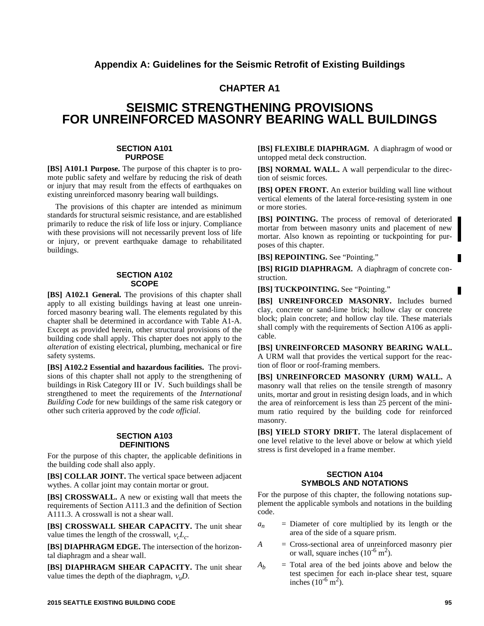## **Appendix A: Guidelines for the Seismic Retrofit of Existing Buildings**

## **CHAPTER A1**

## **SEISMIC STRENGTHENING PROVISIONS FOR UNREINFORCED MASONRY BEARING WALL BUILDINGS**

#### **SECTION A101 PURPOSE**

**[BS] A101.1 Purpose.** The purpose of this chapter is to promote public safety and welfare by reducing the risk of death or injury that may result from the effects of earthquakes on existing unreinforced masonry bearing wall buildings.

The provisions of this chapter are intended as minimum standards for structural seismic resistance, and are established primarily to reduce the risk of life loss or injury. Compliance with these provisions will not necessarily prevent loss of life or injury, or prevent earthquake damage to rehabilitated buildings.

#### **SECTION A102 SCOPE**

**[BS] A102.1 General.** The provisions of this chapter shall apply to all existing buildings having at least one unreinforced masonry bearing wall. The elements regulated by this chapter shall be determined in accordance with Table A1-A. Except as provided herein, other structural provisions of the building code shall apply. This chapter does not apply to the *alteration* of existing electrical, plumbing, mechanical or fire safety systems.

**[BS] A102.2 Essential and hazardous facilities.** The provisions of this chapter shall not apply to the strengthening of buildings in Risk Category III or IV. Such buildings shall be strengthened to meet the requirements of the *International Building Code* for new buildings of the same risk category or other such criteria approved by the *code official*.

#### **SECTION A103 DEFINITIONS**

For the purpose of this chapter, the applicable definitions in the building code shall also apply.

**[BS] COLLAR JOINT.** The vertical space between adjacent wythes. A collar joint may contain mortar or grout.

**[BS] CROSSWALL.** A new or existing wall that meets the requirements of Section A111.3 and the definition of Section A111.3. A crosswall is not a shear wall.

**[BS] CROSSWALL SHEAR CAPACITY.** The unit shear value times the length of the crosswall,  $v_c L_c$ .

**[BS] DIAPHRAGM EDGE.** The intersection of the horizontal diaphragm and a shear wall.

**[BS] DIAPHRAGM SHEAR CAPACITY.** The unit shear value times the depth of the diaphragm,  $v<sub>u</sub>D$ .

**[BS] FLEXIBLE DIAPHRAGM.** A diaphragm of wood or untopped metal deck construction.

**[BS] NORMAL WALL.** A wall perpendicular to the direction of seismic forces.

**[BS] OPEN FRONT.** An exterior building wall line without vertical elements of the lateral force-resisting system in one or more stories.

**[BS] POINTING.** The process of removal of deteriorated mortar from between masonry units and placement of new mortar. Also known as repointing or tuckpointing for purposes of this chapter.

**[BS] REPOINTING.** See "Pointing."

**[BS] RIGID DIAPHRAGM.** A diaphragm of concrete construction.

**[BS] TUCKPOINTING.** See "Pointing."

**[BS] UNREINFORCED MASONRY.** Includes burned clay, concrete or sand-lime brick; hollow clay or concrete block; plain concrete; and hollow clay tile. These materials shall comply with the requirements of Section A106 as applicable.

**[BS] UNREINFORCED MASONRY BEARING WALL.** A URM wall that provides the vertical support for the reaction of floor or roof-framing members.

**[BS] UNREINFORCED MASONRY (URM) WALL.** A masonry wall that relies on the tensile strength of masonry units, mortar and grout in resisting design loads, and in which the area of reinforcement is less than 25 percent of the minimum ratio required by the building code for reinforced masonry.

**[BS] YIELD STORY DRIFT.** The lateral displacement of one level relative to the level above or below at which yield stress is first developed in a frame member.

#### **SECTION A104 SYMBOLS AND NOTATIONS**

For the purpose of this chapter, the following notations supplement the applicable symbols and notations in the building code.

- $a_n$  = Diameter of core multiplied by its length or the area of the side of a square prism.
- *A* = Cross-sectional area of unreinforced masonry pier or wall, square inches  $(10^{-6} \text{ m}^2)$ .
- $A_b$  = Total area of the bed joints above and below the test specimen for each in-place shear test, square inches  $(10^{-6} \text{ m}^2)$ .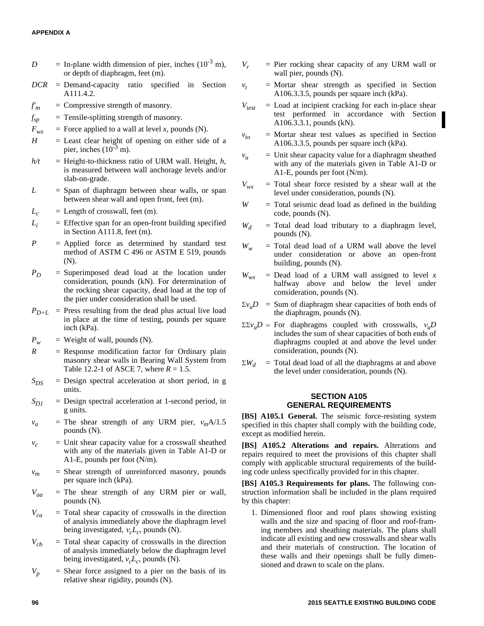#### **APPENDIX A**

- $D =$  In-plane width dimension of pier, inches  $(10^{-3} \text{ m})$ , or depth of diaphragm, feet (m).
- *DCR* = Demand-capacity ratio specified in Section A111.4.2.
- $f'_m$  = Compressive strength of masonry.
- *f* = Tensile-splitting strength of masonry.
- $F_{wx}$  = Force applied to a wall at level *x*, pounds (N).
- $H =$  Least clear height of opening on either side of a pier, inches  $(10^{-3}$  m).
- $h/t$  = Height-to-thickness ratio of URM wall. Height,  $h$ , is measured between wall anchorage levels and/or slab-on-grade.
- $L =$  Span of diaphragm between shear walls, or span between shear wall and open front, feet (m).
- $L_c$  = Length of crosswall, feet (m).
- $L_i$  = Effective span for an open-front building specified in Section A111.8, feet (m).
- $P =$  Applied force as determined by standard test method of ASTM C 496 or ASTM E 519, pounds (N).
- *P<sup>D</sup>* = Superimposed dead load at the location under consideration, pounds (kN). For determination of the rocking shear capacity, dead load at the top of the pier under consideration shall be used.
- $P_{D+L}$  = Press resulting from the dead plus actual live load in place at the time of testing, pounds per square inch (kPa).
- $P_w$  = Weight of wall, pounds (N).
- $R$  = Response modification factor for Ordinary plain masonry shear walls in Bearing Wall System from Table 12.2-1 of ASCE 7, where  $R = 1.5$ .
- $S_{DS}$  = Design spectral acceleration at short period, in g units.
- $S_{DI}$  = Design spectral acceleration at 1-second period, in g units.
- $v_a$  = The shear strength of any URM pier,  $v_m A/1.5$ pounds (N).
- $v_c$  = Unit shear capacity value for a crosswall sheathed with any of the materials given in Table A1-D or A1-E, pounds per foot (N/m).
- $v_m$  = Shear strength of unreinforced masonry, pounds per square inch (kPa).
- $V_{aa}$  = The shear strength of any URM pier or wall, pounds (N).
- $V_{ca}$  = Total shear capacity of crosswalls in the direction of analysis immediately above the diaphragm level being investigated,  $v_c L_c$ , pounds (N).
- $V_{cb}$  = Total shear capacity of crosswalls in the direction of analysis immediately below the diaphragm level being investigated,  $v_c L_c$ , pounds (N).
- $V_p$  = Shear force assigned to a pier on the basis of its relative shear rigidity, pounds (N).
- $V_r$  = Pier rocking shear capacity of any URM wall or wall pier, pounds (N).
- $v_t$  = Mortar shear strength as specified in Section A106.3.3.5, pounds per square inch (kPa).
- $V_{test}$  = Load at incipient cracking for each in-place shear test performed in accordance with Section A106.3.3.1, pounds (kN).
	- $=$  Mortar shear test values as specified in Section A106.3.3.5, pounds per square inch (kPa).
- $v<sub>u</sub>$  = Unit shear capacity value for a diaphragm sheathed with any of the materials given in Table A1-D or A1-E, pounds per foot (N/m).
- $V_{wx}$  = Total shear force resisted by a shear wall at the level under consideration, pounds (N).
- *W* = Total seismic dead load as defined in the building code, pounds (N).
- $W_d$  = Total dead load tributary to a diaphragm level, pounds (N).
- $W_w$  = Total dead load of a URM wall above the level under consideration or above an open-front building, pounds (N).
- $W_{wx}$  = Dead load of a URM wall assigned to level *x* halfway above and below the level under consideration, pounds (N).
- $\Sigma v$ <sup>*u*</sup> $D$  = Sum of diaphragm shear capacities of both ends of the diaphragm, pounds (N).
- $\Sigma \Sigma v_u D$  = For diaphragms coupled with crosswalls,  $v_u D$ includes the sum of shear capacities of both ends of diaphragms coupled at and above the level under consideration, pounds (N).
- $\sum W_d$  = Total dead load of all the diaphragms at and above the level under consideration, pounds (N).

#### **SECTION A105 GENERAL REQUIREMENTS**

**[BS] A105.1 General.** The seismic force-resisting system specified in this chapter shall comply with the building code, except as modified herein.

**[BS] A105.2 Alterations and repairs.** Alterations and repairs required to meet the provisions of this chapter shall comply with applicable structural requirements of the building code unless specifically provided for in this chapter.

**[BS] A105.3 Requirements for plans.** The following construction information shall be included in the plans required by this chapter:

1. Dimensioned floor and roof plans showing existing walls and the size and spacing of floor and roof-framing members and sheathing materials. The plans shall indicate all existing and new crosswalls and shear walls and their materials of construction. The location of these walls and their openings shall be fully dimensioned and drawn to scale on the plans.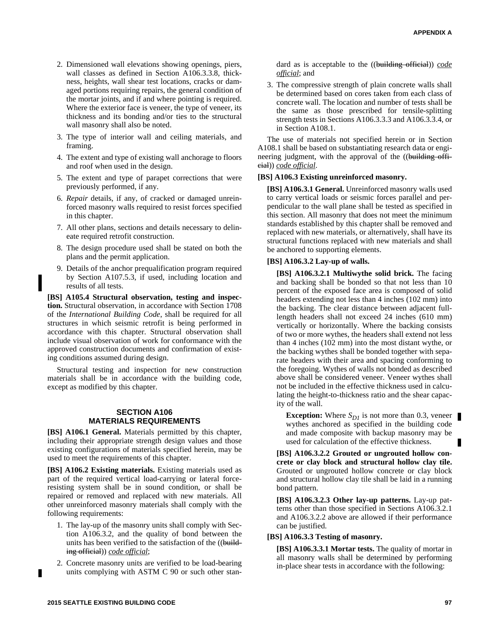- 2. Dimensioned wall elevations showing openings, piers, wall classes as defined in Section A106.3.3.8, thickness, heights, wall shear test locations, cracks or damaged portions requiring repairs, the general condition of the mortar joints, and if and where pointing is required. Where the exterior face is veneer, the type of veneer, its thickness and its bonding and/or ties to the structural wall masonry shall also be noted.
- 3. The type of interior wall and ceiling materials, and framing.
- 4. The extent and type of existing wall anchorage to floors and roof when used in the design.
- 5. The extent and type of parapet corrections that were previously performed, if any.
- 6. *Repair* details, if any, of cracked or damaged unreinforced masonry walls required to resist forces specified in this chapter.
- 7. All other plans, sections and details necessary to delineate required retrofit construction.
- 8. The design procedure used shall be stated on both the plans and the permit application.
- 9. Details of the anchor prequalification program required by Section A107.5.3, if used, including location and results of all tests.

**[BS] A105.4 Structural observation, testing and inspection.** Structural observation, in accordance with Section 1708 of the *International Building Code*, shall be required for all structures in which seismic retrofit is being performed in accordance with this chapter. Structural observation shall include visual observation of work for conformance with the approved construction documents and confirmation of existing conditions assumed during design.

Structural testing and inspection for new construction materials shall be in accordance with the building code, except as modified by this chapter.

#### **SECTION A106 MATERIALS REQUIREMENTS**

**[BS] A106.1 General.** Materials permitted by this chapter, including their appropriate strength design values and those existing configurations of materials specified herein, may be used to meet the requirements of this chapter.

**[BS] A106.2 Existing materials.** Existing materials used as part of the required vertical load-carrying or lateral forceresisting system shall be in sound condition, or shall be repaired or removed and replaced with new materials. All other unreinforced masonry materials shall comply with the following requirements:

- 1. The lay-up of the masonry units shall comply with Section A106.3.2, and the quality of bond between the units has been verified to the satisfaction of the ((building official)) *code official*;
- 2. Concrete masonry units are verified to be load-bearing units complying with ASTM C 90 or such other stan-

dard as is acceptable to the ((building official)) *code official*; and

3. The compressive strength of plain concrete walls shall be determined based on cores taken from each class of concrete wall. The location and number of tests shall be the same as those prescribed for tensile-splitting strength tests in Sections A106.3.3.3 and A106.3.3.4, or in Section A108.1.

The use of materials not specified herein or in Section A108.1 shall be based on substantiating research data or engineering judgment, with the approval of the ((building official)) *code official*.

#### **[BS] A106.3 Existing unreinforced masonry.**

**[BS] A106.3.1 General.** Unreinforced masonry walls used to carry vertical loads or seismic forces parallel and perpendicular to the wall plane shall be tested as specified in this section. All masonry that does not meet the minimum standards established by this chapter shall be removed and replaced with new materials, or alternatively, shall have its structural functions replaced with new materials and shall be anchored to supporting elements.

#### **[BS] A106.3.2 Lay-up of walls.**

**[BS] A106.3.2.1 Multiwythe solid brick.** The facing and backing shall be bonded so that not less than 10 percent of the exposed face area is composed of solid headers extending not less than 4 inches (102 mm) into the backing. The clear distance between adjacent fulllength headers shall not exceed 24 inches (610 mm) vertically or horizontally. Where the backing consists of two or more wythes, the headers shall extend not less than 4 inches (102 mm) into the most distant wythe, or the backing wythes shall be bonded together with separate headers with their area and spacing conforming to the foregoing. Wythes of walls not bonded as described above shall be considered veneer. Veneer wythes shall not be included in the effective thickness used in calculating the height-to-thickness ratio and the shear capacity of the wall.

**Exception:** Where  $S_{DI}$  is not more than 0.3, veneer wythes anchored as specified in the building code and made composite with backup masonry may be used for calculation of the effective thickness.

**[BS] A106.3.2.2 Grouted or ungrouted hollow concrete or clay block and structural hollow clay tile.** Grouted or ungrouted hollow concrete or clay block and structural hollow clay tile shall be laid in a running bond pattern.

**[BS] A106.3.2.3 Other lay-up patterns.** Lay-up patterns other than those specified in Sections A106.3.2.1 and A106.3.2.2 above are allowed if their performance can be justified.

#### **[BS] A106.3.3 Testing of masonry.**

**[BS] A106.3.3.1 Mortar tests.** The quality of mortar in all masonry walls shall be determined by performing in-place shear tests in accordance with the following: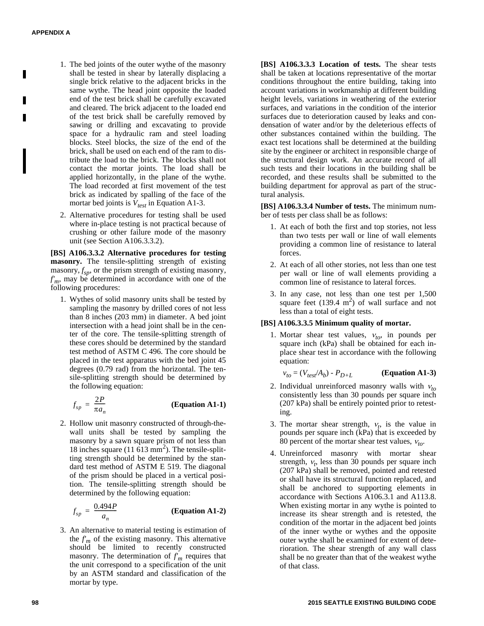П

- 1. The bed joints of the outer wythe of the masonry shall be tested in shear by laterally displacing a single brick relative to the adjacent bricks in the same wythe. The head joint opposite the loaded end of the test brick shall be carefully excavated and cleared. The brick adjacent to the loaded end of the test brick shall be carefully removed by sawing or drilling and excavating to provide space for a hydraulic ram and steel loading blocks. Steel blocks, the size of the end of the brick, shall be used on each end of the ram to distribute the load to the brick. The blocks shall not contact the mortar joints. The load shall be applied horizontally, in the plane of the wythe. The load recorded at first movement of the test brick as indicated by spalling of the face of the mortar bed joints is *Vtest* in Equation A1-3.
- 2. Alternative procedures for testing shall be used where in-place testing is not practical because of crushing or other failure mode of the masonry unit (see Section A106.3.3.2).

**[BS] A106.3.3.2 Alternative procedures for testing masonry.** The tensile-splitting strength of existing masonry,  $f_{sp}$ , or the prism strength of existing masonry, *f'm*, may be determined in accordance with one of the following procedures:

1. Wythes of solid masonry units shall be tested by sampling the masonry by drilled cores of not less than 8 inches (203 mm) in diameter. A bed joint intersection with a head joint shall be in the center of the core. The tensile-splitting strength of these cores should be determined by the standard test method of ASTM C 496. The core should be placed in the test apparatus with the bed joint 45 degrees (0.79 rad) from the horizontal. The tensile-splitting strength should be determined by the following equation:

$$
f_{sp} = \frac{2P}{\pi a_n}
$$
 (Equation A1-1)

2. Hollow unit masonry constructed of through-thewall units shall be tested by sampling the masonry by a sawn square prism of not less than 18 inches square  $(11 \overline{613} \text{ mm}^2)$ . The tensile-splitting strength should be determined by the standard test method of ASTM E 519. The diagonal of the prism should be placed in a vertical position. The tensile-splitting strength should be determined by the following equation:

$$
f_{sp} = \frac{0.494P}{a_n}
$$
 (Equation A1-2)

3. An alternative to material testing is estimation of the  $f<sub>m</sub>$  of the existing masonry. This alternative should be limited to recently constructed masonry. The determination of  $f<sub>m</sub>$  requires that the unit correspond to a specification of the unit by an ASTM standard and classification of the mortar by type.

**[BS] A106.3.3.3 Location of tests.** The shear tests shall be taken at locations representative of the mortar conditions throughout the entire building, taking into account variations in workmanship at different building height levels, variations in weathering of the exterior surfaces, and variations in the condition of the interior surfaces due to deterioration caused by leaks and condensation of water and/or by the deleterious effects of other substances contained within the building. The exact test locations shall be determined at the building site by the engineer or architect in responsible charge of the structural design work. An accurate record of all such tests and their locations in the building shall be recorded, and these results shall be submitted to the building department for approval as part of the structural analysis.

**[BS] A106.3.3.4 Number of tests.** The minimum number of tests per class shall be as follows:

- 1. At each of both the first and top stories, not less than two tests per wall or line of wall elements providing a common line of resistance to lateral forces.
- 2. At each of all other stories, not less than one test per wall or line of wall elements providing a common line of resistance to lateral forces.
- 3. In any case, not less than one test per 1,500 square feet  $(139.4 \text{ m}^2)$  of wall surface and not less than a total of eight tests.

#### **[BS] A106.3.3.5 Minimum quality of mortar.**

1. Mortar shear test values,  $v_{to}$ , in pounds per square inch (kPa) shall be obtained for each inplace shear test in accordance with the following equation:

$$
v_{to} = (V_{test}/A_b) - P_{D+L}
$$
 (Equation A1-3)

- 2. Individual unreinforced masonry walls with  $v_{to}$ consistently less than 30 pounds per square inch (207 kPa) shall be entirely pointed prior to retesting.
- 3. The mortar shear strength,  $v_t$ , is the value in pounds per square inch (kPa) that is exceeded by 80 percent of the mortar shear test values,  $v_{to}$ .
- 4. Unreinforced masonry with mortar shear strength,  $v_t$ , less than 30 pounds per square inch (207 kPa) shall be removed, pointed and retested or shall have its structural function replaced, and shall be anchored to supporting elements in accordance with Sections A106.3.1 and A113.8. When existing mortar in any wythe is pointed to increase its shear strength and is retested, the condition of the mortar in the adjacent bed joints of the inner wythe or wythes and the opposite outer wythe shall be examined for extent of deterioration. The shear strength of any wall class shall be no greater than that of the weakest wythe of that class.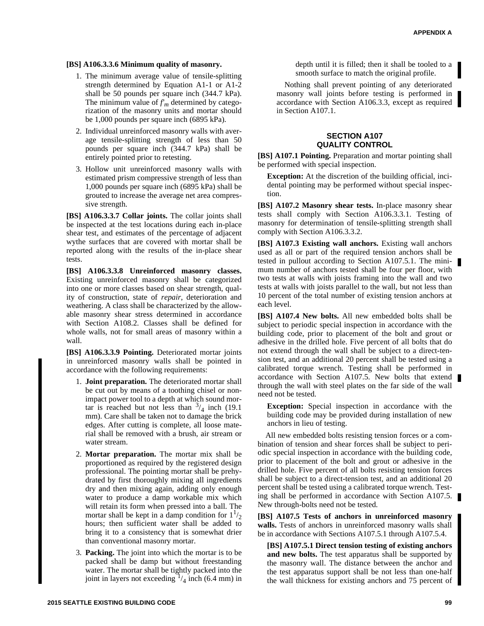#### **[BS] A106.3.3.6 Minimum quality of masonry.**

- 1. The minimum average value of tensile-splitting strength determined by Equation A1-1 or A1-2 shall be 50 pounds per square inch (344.7 kPa). The minimum value of  $f<sub>m</sub>$  determined by categorization of the masonry units and mortar should be 1,000 pounds per square inch (6895 kPa).
- 2. Individual unreinforced masonry walls with average tensile-splitting strength of less than 50 pounds per square inch (344.7 kPa) shall be entirely pointed prior to retesting.
- 3. Hollow unit unreinforced masonry walls with estimated prism compressive strength of less than 1,000 pounds per square inch (6895 kPa) shall be grouted to increase the average net area compressive strength.

**[BS] A106.3.3.7 Collar joints.** The collar joints shall be inspected at the test locations during each in-place shear test, and estimates of the percentage of adjacent wythe surfaces that are covered with mortar shall be reported along with the results of the in-place shear tests.

**[BS] A106.3.3.8 Unreinforced masonry classes.** Existing unreinforced masonry shall be categorized into one or more classes based on shear strength, quality of construction, state of *repair*, deterioration and weathering. A class shall be characterized by the allowable masonry shear stress determined in accordance with Section A108.2. Classes shall be defined for whole walls, not for small areas of masonry within a wall.

**[BS] A106.3.3.9 Pointing.** Deteriorated mortar joints in unreinforced masonry walls shall be pointed in accordance with the following requirements:

- 1. **Joint preparation.** The deteriorated mortar shall be cut out by means of a toothing chisel or nonimpact power tool to a depth at which sound mortar is reached but not less than  $\frac{3}{4}$  inch (19.1) mm). Care shall be taken not to damage the brick edges. After cutting is complete, all loose material shall be removed with a brush, air stream or water stream.
- 2. **Mortar preparation.** The mortar mix shall be proportioned as required by the registered design professional. The pointing mortar shall be prehydrated by first thoroughly mixing all ingredients dry and then mixing again, adding only enough water to produce a damp workable mix which will retain its form when pressed into a ball. The mortar shall be kept in a damp condition for  $1^{1/2}$ hours; then sufficient water shall be added to bring it to a consistency that is somewhat drier than conventional masonry mortar.
- 3. **Packing.** The joint into which the mortar is to be packed shall be damp but without freestanding water. The mortar shall be tightly packed into the joint in layers not exceeding  $\frac{1}{4}$  inch (6.4 mm) in

depth until it is filled; then it shall be tooled to a smooth surface to match the original profile.

Nothing shall prevent pointing of any deteriorated masonry wall joints before testing is performed in accordance with Section A106.3.3, except as required in Section A107.1.

#### **SECTION A107 QUALITY CONTROL**

**[BS] A107.1 Pointing.** Preparation and mortar pointing shall be performed with special inspection.

**Exception:** At the discretion of the building official, incidental pointing may be performed without special inspection.

**[BS] A107.2 Masonry shear tests.** In-place masonry shear tests shall comply with Section A106.3.3.1. Testing of masonry for determination of tensile-splitting strength shall comply with Section A106.3.3.2.

**[BS] A107.3 Existing wall anchors.** Existing wall anchors used as all or part of the required tension anchors shall be tested in pullout according to Section A107.5.1. The minimum number of anchors tested shall be four per floor, with two tests at walls with joists framing into the wall and two tests at walls with joists parallel to the wall, but not less than 10 percent of the total number of existing tension anchors at each level.

**[BS] A107.4 New bolts.** All new embedded bolts shall be subject to periodic special inspection in accordance with the building code, prior to placement of the bolt and grout or adhesive in the drilled hole. Five percent of all bolts that do not extend through the wall shall be subject to a direct-tension test, and an additional 20 percent shall be tested using a calibrated torque wrench. Testing shall be performed in accordance with Section A107.5. New bolts that extend through the wall with steel plates on the far side of the wall need not be tested.

**Exception:** Special inspection in accordance with the building code may be provided during installation of new anchors in lieu of testing.

All new embedded bolts resisting tension forces or a combination of tension and shear forces shall be subject to periodic special inspection in accordance with the building code, prior to placement of the bolt and grout or adhesive in the drilled hole. Five percent of all bolts resisting tension forces shall be subject to a direct-tension test, and an additional 20 percent shall be tested using a calibrated torque wrench. Testing shall be performed in accordance with Section A107.5. New through-bolts need not be tested.

**[BS] A107.5 Tests of anchors in unreinforced masonry walls.** Tests of anchors in unreinforced masonry walls shall be in accordance with Sections A107.5.1 through A107.5.4.

**[BS] A107.5.1 Direct tension testing of existing anchors and new bolts.** The test apparatus shall be supported by the masonry wall. The distance between the anchor and the test apparatus support shall be not less than one-half the wall thickness for existing anchors and 75 percent of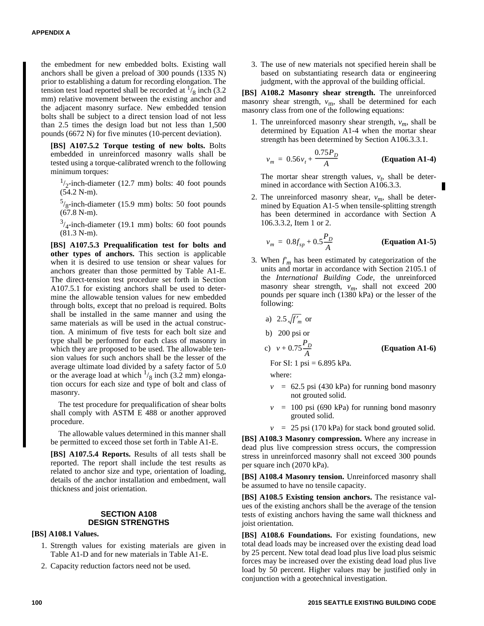the embedment for new embedded bolts. Existing wall anchors shall be given a preload of 300 pounds (1335 N) prior to establishing a datum for recording elongation. The tension test load reported shall be recorded at  $\frac{1}{8}$  inch (3.2) mm) relative movement between the existing anchor and the adjacent masonry surface. New embedded tension bolts shall be subject to a direct tension load of not less than 2.5 times the design load but not less than 1,500 pounds (6672 N) for five minutes (10-percent deviation).

**[BS] A107.5.2 Torque testing of new bolts.** Bolts embedded in unreinforced masonry walls shall be tested using a torque-calibrated wrench to the following minimum torques:

 $1/2$ -inch-diameter (12.7 mm) bolts: 40 foot pounds (54.2 N-m).

 $5/8$ -inch-diameter (15.9 mm) bolts: 50 foot pounds (67.8 N-m).

 $3/4$ -inch-diameter (19.1 mm) bolts: 60 foot pounds (81.3 N-m).

**[BS] A107.5.3 Prequalification test for bolts and other types of anchors.** This section is applicable when it is desired to use tension or shear values for anchors greater than those permitted by Table A1-E. The direct-tension test procedure set forth in Section A107.5.1 for existing anchors shall be used to determine the allowable tension values for new embedded through bolts, except that no preload is required. Bolts shall be installed in the same manner and using the same materials as will be used in the actual construction. A minimum of five tests for each bolt size and type shall be performed for each class of masonry in which they are proposed to be used. The allowable tension values for such anchors shall be the lesser of the average ultimate load divided by a safety factor of 5.0 or the average load at which  $\frac{1}{8}$  inch (3.2 mm) elongation occurs for each size and type of bolt and class of masonry.

The test procedure for prequalification of shear bolts shall comply with ASTM E 488 or another approved procedure.

The allowable values determined in this manner shall be permitted to exceed those set forth in Table A1-E.

**[BS] A107.5.4 Reports.** Results of all tests shall be reported. The report shall include the test results as related to anchor size and type, orientation of loading, details of the anchor installation and embedment, wall thickness and joist orientation.

#### **SECTION A108 DESIGN STRENGTHS**

#### **[BS] A108.1 Values.**

- 1. Strength values for existing materials are given in Table A1-D and for new materials in Table A1-E.
- 2. Capacity reduction factors need not be used.

3. The use of new materials not specified herein shall be based on substantiating research data or engineering judgment, with the approval of the building official.

**[BS] A108.2 Masonry shear strength.** The unreinforced masonry shear strength,  $v_m$ , shall be determined for each masonry class from one of the following equations:

1. The unreinforced masonry shear strength,  $v_m$ , shall be determined by Equation A1-4 when the mortar shear strength has been determined by Section A106.3.3.1.

$$
v_m = 0.56v_t + \frac{0.75P_D}{A}
$$
 (Equation A1-4)

The mortar shear strength values,  $v_t$ , shall be determined in accordance with Section A106.3.3.

2. The unreinforced masonry shear,  $v_m$ , shall be determined by Equation A1-5 when tensile-splitting strength has been determined in accordance with Section A 106.3.3.2, Item 1 or 2.

$$
v_m = 0.8f_{sp} + 0.5\frac{P_D}{A}
$$
 (Equation A1-5)

3*.* When *f'<sup>m</sup>* has been estimated by categorization of the units and mortar in accordance with Section 2105.1 of the *International Building Code*, the unreinforced masonry shear strength, *vm*, shall not exceed 200 pounds per square inch (1380 kPa) or the lesser of the following:

a) 2.5 
$$
\sqrt{f'_m}
$$
 or  
b) 200 psi or  
c)  $v + 0.75 \frac{P_D}{A}$ 

c)  $v + 0.75 \frac{D}{L}$  (Equation A1-6)

For SI: 1 psi =  $6.895$  kPa.

where:

- $v = 62.5$  psi (430 kPa) for running bond masonry not grouted solid.
- $v = 100 \text{ psi}$  (690 kPa) for running bond masonry grouted solid.
- $v = 25$  psi (170 kPa) for stack bond grouted solid.

**[BS] A108.3 Masonry compression.** Where any increase in dead plus live compression stress occurs, the compression stress in unreinforced masonry shall not exceed 300 pounds per square inch (2070 kPa).

**[BS] A108.4 Masonry tension.** Unreinforced masonry shall be assumed to have no tensile capacity.

**[BS] A108.5 Existing tension anchors.** The resistance values of the existing anchors shall be the average of the tension tests of existing anchors having the same wall thickness and joist orientation.

**[BS] A108.6 Foundations.** For existing foundations, new total dead loads may be increased over the existing dead load by 25 percent. New total dead load plus live load plus seismic forces may be increased over the existing dead load plus live load by 50 percent. Higher values may be justified only in conjunction with a geotechnical investigation.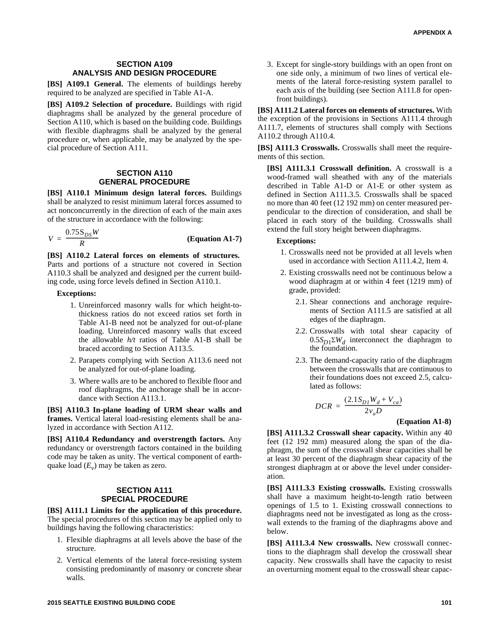#### **SECTION A109 ANALYSIS AND DESIGN PROCEDURE**

**[BS] A109.1 General.** The elements of buildings hereby required to be analyzed are specified in Table A1-A.

**[BS] A109.2 Selection of procedure.** Buildings with rigid diaphragms shall be analyzed by the general procedure of Section A110, which is based on the building code. Buildings with flexible diaphragms shall be analyzed by the general procedure or, when applicable, may be analyzed by the special procedure of Section A111.

#### **SECTION A110 GENERAL PROCEDURE**

**[BS] A110.1 Minimum design lateral forces.** Buildings shall be analyzed to resist minimum lateral forces assumed to act nonconcurrently in the direction of each of the main axes of the structure in accordance with the following:

$$
V = \frac{0.75 \, \text{S}_{DS} W}{R} \tag{Equation A1-7}
$$

**[BS] A110.2 Lateral forces on elements of structures.** Parts and portions of a structure not covered in Section A110.3 shall be analyzed and designed per the current building code, using force levels defined in Section A110.1.

#### **Exceptions:**

- 1. Unreinforced masonry walls for which height-tothickness ratios do not exceed ratios set forth in Table A1-B need not be analyzed for out-of-plane loading. Unreinforced masonry walls that exceed the allowable *h/t* ratios of Table A1-B shall be braced according to Section A113.5.
- 2. Parapets complying with Section A113.6 need not be analyzed for out-of-plane loading.
- 3. Where walls are to be anchored to flexible floor and roof diaphragms, the anchorage shall be in accordance with Section A113.1.

**[BS] A110.3 In-plane loading of URM shear walls and frames.** Vertical lateral load-resisting elements shall be analyzed in accordance with Section A112.

**[BS] A110.4 Redundancy and overstrength factors.** Any redundancy or overstrength factors contained in the building code may be taken as unity. The vertical component of earthquake load (*E<sup>v</sup>* ) may be taken as zero.

#### **SECTION A111 SPECIAL PROCEDURE**

**[BS] A111.1 Limits for the application of this procedure.** The special procedures of this section may be applied only to buildings having the following characteristics:

- 1. Flexible diaphragms at all levels above the base of the structure.
- 2. Vertical elements of the lateral force-resisting system consisting predominantly of masonry or concrete shear walls.

3. Except for single-story buildings with an open front on one side only, a minimum of two lines of vertical elements of the lateral force-resisting system parallel to each axis of the building (see Section A111.8 for openfront buildings).

**[BS] A111.2 Lateral forces on elements of structures.** With the exception of the provisions in Sections A111.4 through A111.7, elements of structures shall comply with Sections A110.2 through A110.4.

**[BS] A111.3 Crosswalls.** Crosswalls shall meet the requirements of this section.

**[BS] A111.3.1 Crosswall definition.** A crosswall is a wood-framed wall sheathed with any of the materials described in Table A1-D or A1-E or other system as defined in Section A111.3.5. Crosswalls shall be spaced no more than 40 feet (12 192 mm) on center measured perpendicular to the direction of consideration, and shall be placed in each story of the building. Crosswalls shall extend the full story height between diaphragms.

#### **Exceptions:**

- 1. Crosswalls need not be provided at all levels when used in accordance with Section A111.4.2, Item 4.
- 2. Existing crosswalls need not be continuous below a wood diaphragm at or within 4 feet (1219 mm) of grade, provided:
	- 2.1. Shear connections and anchorage requirements of Section A111.5 are satisfied at all edges of the diaphragm.
	- 2.2. Crosswalls with total shear capacity of  $0.5S_{D1}\Sigma W_d$  interconnect the diaphragm to the foundation.
	- 2.3. The demand-capacity ratio of the diaphragm between the crosswalls that are continuous to their foundations does not exceed 2.5, calculated as follows:

$$
DCR = \frac{(2.1S_{D1}W_d + V_{ca})}{2v_u D}
$$

#### **(Equation A1-8)**

**[BS] A111.3.2 Crosswall shear capacity.** Within any 40 feet (12 192 mm) measured along the span of the diaphragm, the sum of the crosswall shear capacities shall be at least 30 percent of the diaphragm shear capacity of the strongest diaphragm at or above the level under consideration.

**[BS] A111.3.3 Existing crosswalls.** Existing crosswalls shall have a maximum height-to-length ratio between openings of 1.5 to 1. Existing crosswall connections to diaphragms need not be investigated as long as the crosswall extends to the framing of the diaphragms above and below.

**[BS] A111.3.4 New crosswalls.** New crosswall connections to the diaphragm shall develop the crosswall shear capacity. New crosswalls shall have the capacity to resist an overturning moment equal to the crosswall shear capac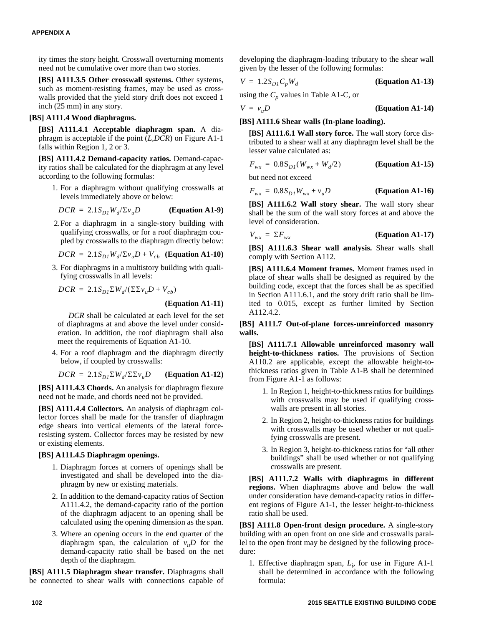ity times the story height. Crosswall overturning moments need not be cumulative over more than two stories.

**[BS] A111.3.5 Other crosswall systems.** Other systems, such as moment-resisting frames, may be used as crosswalls provided that the yield story drift does not exceed 1 inch (25 mm) in any story.

#### **[BS] A111.4 Wood diaphragms.**

**[BS] A111.4.1 Acceptable diaphragm span.** A diaphragm is acceptable if the point (*L,DCR*) on Figure A1-1 falls within Region 1, 2 or 3.

**[BS] A111.4.2 Demand-capacity ratios.** Demand-capacity ratios shall be calculated for the diaphragm at any level according to the following formulas:

1. For a diaphragm without qualifying crosswalls at levels immediately above or below:

$$
DCR = 2.1S_{D1}W_d/\Sigma v_u D
$$
 (Equation A1-9)

2.For a diaphragm in a single-story building with qualifying crosswalls, or for a roof diaphragm coupled by crosswalls to the diaphragm directly below:

$$
DCR = 2.1S_{D1}W_d/\Sigma v_u D + V_{cb}
$$
 (Equation A1-10)

3. For diaphragms in a multistory building with qualifying crosswalls in all levels:

$$
DCR = 2.1S_{D1}\Sigma W_d/(\Sigma\Sigma v_u D + V_{cb})
$$

#### **(Equation A1-11)**

*DCR* shall be calculated at each level for the set of diaphragms at and above the level under consideration. In addition, the roof diaphragm shall also meet the requirements of Equation A1-10.

4. For a roof diaphragm and the diaphragm directly below, if coupled by crosswalls:

$$
DCR = 2.1S_{D1} \Sigma W_d / \Sigma \Sigma v_u D
$$
 (Equation A1-12)

**[BS] A111.4.3 Chords.** An analysis for diaphragm flexure need not be made, and chords need not be provided.

**[BS] A111.4.4 Collectors.** An analysis of diaphragm collector forces shall be made for the transfer of diaphragm edge shears into vertical elements of the lateral forceresisting system. Collector forces may be resisted by new or existing elements.

#### **[BS] A111.4.5 Diaphragm openings.**

- 1. Diaphragm forces at corners of openings shall be investigated and shall be developed into the diaphragm by new or existing materials.
- 2. In addition to the demand-capacity ratios of Section A111.4.2, the demand-capacity ratio of the portion of the diaphragm adjacent to an opening shall be calculated using the opening dimension as the span.
- 3. Where an opening occurs in the end quarter of the diaphragm span, the calculation of  $v<sub>u</sub>D$  for the demand-capacity ratio shall be based on the net depth of the diaphragm.

**[BS] A111.5 Diaphragm shear transfer.** Diaphragms shall be connected to shear walls with connections capable of developing the diaphragm-loading tributary to the shear wall given by the lesser of the following formulas:

$$
V = 1.2S_{D}C_pW_d
$$
 (Equation A1-13)

using the  $C_p$  values in Table A1-C, or

$$
V = vuD
$$
 (Equation A1-14)

#### **[BS] A111.6 Shear walls (In-plane loading).**

**[BS] A111.6.1 Wall story force.** The wall story force distributed to a shear wall at any diaphragm level shall be the lesser value calculated as:

$$
F_{wx} = 0.8 S_{DI} (W_{wx} + W_d/2)
$$
 (Equation A1-15)

but need not exceed

$$
F_{wx} = 0.8S_{D1}W_{wx} + v_u D
$$
 (Equation A1-16)

**[BS] A111.6.2 Wall story shear.** The wall story shear shall be the sum of the wall story forces at and above the level of consideration.

$$
V_{wx} = \Sigma F_{wx}
$$
 (Equation A1-17)

**[BS] A111.6.3 Shear wall analysis.** Shear walls shall comply with Section A112.

**[BS] A111.6.4 Moment frames.** Moment frames used in place of shear walls shall be designed as required by the building code, except that the forces shall be as specified in Section A111.6.1, and the story drift ratio shall be limited to 0.015, except as further limited by Section A112.4.2.

**[BS] A111.7 Out-of-plane forces-unreinforced masonry walls.**

**[BS] A111.7.1 Allowable unreinforced masonry wall height-to-thickness ratios.** The provisions of Section A110.2 are applicable, except the allowable height-tothickness ratios given in Table A1-B shall be determined from Figure A1-1 as follows:

- 1. In Region 1, height-to-thickness ratios for buildings with crosswalls may be used if qualifying crosswalls are present in all stories.
- 2. In Region 2, height-to-thickness ratios for buildings with crosswalls may be used whether or not qualifying crosswalls are present.
- 3. In Region 3, height-to-thickness ratios for "all other buildings" shall be used whether or not qualifying crosswalls are present.

**[BS] A111.7.2 Walls with diaphragms in different regions.** When diaphragms above and below the wall under consideration have demand-capacity ratios in different regions of Figure A1-1, the lesser height-to-thickness ratio shall be used.

**[BS] A111.8 Open-front design procedure.** A single-story building with an open front on one side and crosswalls parallel to the open front may be designed by the following procedure:

1. Effective diaphragm span, *L<sup>i</sup>* , for use in Figure A1-1 shall be determined in accordance with the following formula: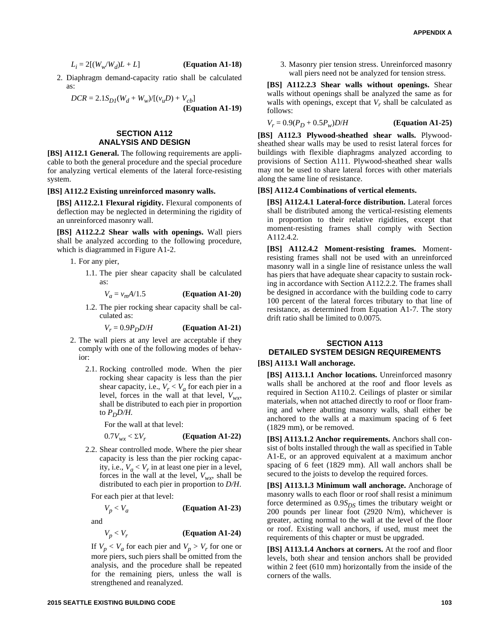$$
L_i = 2[(W_w/W_d)L + L] \qquad \textbf{(Equation A1-18)}
$$

2. Diaphragm demand-capacity ratio shall be calculated as:

$$
DCR = 2.1S_{DI}(W_d + W_w)/[(v_u D) + V_{cb}]
$$
  
(Equation A1-19)

#### **SECTION A112 ANALYSIS AND DESIGN**

**[BS] A112.1 General.** The following requirements are applicable to both the general procedure and the special procedure for analyzing vertical elements of the lateral force-resisting system.

#### **[BS] A112.2 Existing unreinforced masonry walls.**

**[BS] A112.2.1 Flexural rigidity.** Flexural components of deflection may be neglected in determining the rigidity of an unreinforced masonry wall.

**[BS] A112.2.2 Shear walls with openings.** Wall piers shall be analyzed according to the following procedure, which is diagrammed in Figure A1-2.

- 1. For any pier,
	- 1.1. The pier shear capacity shall be calculated as:

 $V_a = v_m A/1.5$  **(Equation A1-20)** 

1.2. The pier rocking shear capacity shall be calculated as:

 $V_r = 0.9P_pD/H$  **(Equation A1-21)** 

- 2. The wall piers at any level are acceptable if they comply with one of the following modes of behavior:
	- 2.1. Rocking controlled mode. When the pier rocking shear capacity is less than the pier shear capacity, i.e.,  $V_r < V_a$  for each pier in a level, forces in the wall at that level,  $V_{wx}$ , shall be distributed to each pier in proportion to  $P_D D/H$ .

For the wall at that level:

$$
0.7V_{wx} < \Sigma V_r \qquad \qquad \textbf{(Equation A1-22)}
$$

2.2. Shear controlled mode. Where the pier shear capacity is less than the pier rocking capacity, i.e.,  $V_a < V_r$  in at least one pier in a level, forces in the wall at the level,  $V_{wx}$ , shall be distributed to each pier in proportion to *D/H*.

For each pier at that level:

 $V_p < V_a$ **(Equation A1-23)**

and

$$
V_p < V_r \tag{Equation A1-24}
$$

If  $V_p < V_a$  for each pier and  $V_p > V_r$  for one or more piers, such piers shall be omitted from the analysis, and the procedure shall be repeated for the remaining piers, unless the wall is strengthened and reanalyzed.

3. Masonry pier tension stress. Unreinforced masonry wall piers need not be analyzed for tension stress.

**[BS] A112.2.3 Shear walls without openings.** Shear walls without openings shall be analyzed the same as for walls with openings, except that *V<sup>r</sup>* shall be calculated as follows:

 $V_r = 0.9(P_D + 0.5P_w)D/H$  **(Equation A1-25)** 

**[BS] A112.3 Plywood-sheathed shear walls.** Plywoodsheathed shear walls may be used to resist lateral forces for buildings with flexible diaphragms analyzed according to provisions of Section A111. Plywood-sheathed shear walls may not be used to share lateral forces with other materials along the same line of resistance.

#### **[BS] A112.4 Combinations of vertical elements.**

**[BS] A112.4.1 Lateral-force distribution.** Lateral forces shall be distributed among the vertical-resisting elements in proportion to their relative rigidities, except that moment-resisting frames shall comply with Section A112.4.2.

**[BS] A112.4.2 Moment-resisting frames.** Momentresisting frames shall not be used with an unreinforced masonry wall in a single line of resistance unless the wall has piers that have adequate shear capacity to sustain rocking in accordance with Section A112.2.2. The frames shall be designed in accordance with the building code to carry 100 percent of the lateral forces tributary to that line of resistance, as determined from Equation A1-7. The story drift ratio shall be limited to 0.0075.

## **SECTION A113 DETAILED SYSTEM DESIGN REQUIREMENTS**

#### **[BS] A113.1 Wall anchorage.**

**[BS] A113.1.1 Anchor locations.** Unreinforced masonry walls shall be anchored at the roof and floor levels as required in Section A110.2. Ceilings of plaster or similar materials, when not attached directly to roof or floor framing and where abutting masonry walls, shall either be anchored to the walls at a maximum spacing of 6 feet (1829 mm), or be removed.

**[BS] A113.1.2 Anchor requirements.** Anchors shall consist of bolts installed through the wall as specified in Table A1-E, or an approved equivalent at a maximum anchor spacing of 6 feet (1829 mm). All wall anchors shall be secured to the joists to develop the required forces.

**[BS] A113.1.3 Minimum wall anchorage.** Anchorage of masonry walls to each floor or roof shall resist a minimum force determined as 0.9*SDS* times the tributary weight or 200 pounds per linear foot (2920 N/m), whichever is greater, acting normal to the wall at the level of the floor or roof. Existing wall anchors, if used, must meet the requirements of this chapter or must be upgraded.

**[BS] A113.1.4 Anchors at corners.** At the roof and floor levels, both shear and tension anchors shall be provided within 2 feet (610 mm) horizontally from the inside of the corners of the walls.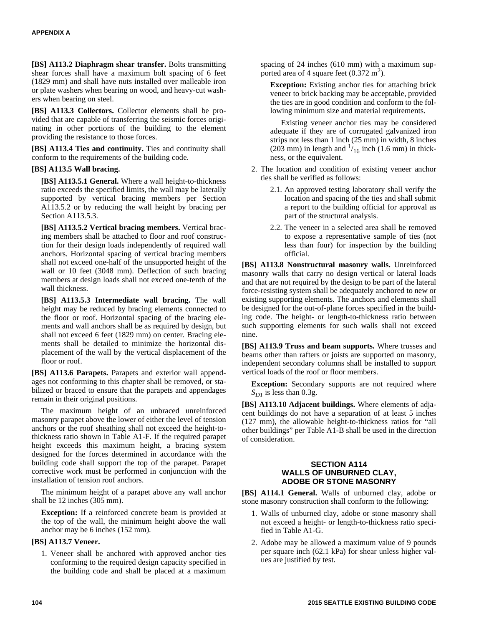**[BS] A113.2 Diaphragm shear transfer.** Bolts transmitting shear forces shall have a maximum bolt spacing of 6 feet (1829 mm) and shall have nuts installed over malleable iron or plate washers when bearing on wood, and heavy-cut washers when bearing on steel.

**[BS] A113.3 Collectors.** Collector elements shall be provided that are capable of transferring the seismic forces originating in other portions of the building to the element providing the resistance to those forces.

**[BS] A113.4 Ties and continuity.** Ties and continuity shall conform to the requirements of the building code.

#### **[BS] A113.5 Wall bracing.**

**[BS] A113.5.1 General.** Where a wall height-to-thickness ratio exceeds the specified limits, the wall may be laterally supported by vertical bracing members per Section A113.5.2 or by reducing the wall height by bracing per Section A113.5.3.

**[BS] A113.5.2 Vertical bracing members.** Vertical bracing members shall be attached to floor and roof construction for their design loads independently of required wall anchors. Horizontal spacing of vertical bracing members shall not exceed one-half of the unsupported height of the wall or 10 feet (3048 mm). Deflection of such bracing members at design loads shall not exceed one-tenth of the wall thickness.

**[BS] A113.5.3 Intermediate wall bracing.** The wall height may be reduced by bracing elements connected to the floor or roof. Horizontal spacing of the bracing elements and wall anchors shall be as required by design, but shall not exceed 6 feet (1829 mm) on center. Bracing elements shall be detailed to minimize the horizontal displacement of the wall by the vertical displacement of the floor or roof.

**[BS] A113.6 Parapets.** Parapets and exterior wall appendages not conforming to this chapter shall be removed, or stabilized or braced to ensure that the parapets and appendages remain in their original positions.

The maximum height of an unbraced unreinforced masonry parapet above the lower of either the level of tension anchors or the roof sheathing shall not exceed the height-tothickness ratio shown in Table A1-F. If the required parapet height exceeds this maximum height, a bracing system designed for the forces determined in accordance with the building code shall support the top of the parapet. Parapet corrective work must be performed in conjunction with the installation of tension roof anchors.

The minimum height of a parapet above any wall anchor shall be 12 inches (305 mm).

**Exception:** If a reinforced concrete beam is provided at the top of the wall, the minimum height above the wall anchor may be 6 inches (152 mm).

#### **[BS] A113.7 Veneer.**

1. Veneer shall be anchored with approved anchor ties conforming to the required design capacity specified in the building code and shall be placed at a maximum

spacing of 24 inches (610 mm) with a maximum supported area of 4 square feet  $(0.372 \text{ m}^2)$ .

**Exception:** Existing anchor ties for attaching brick veneer to brick backing may be acceptable, provided the ties are in good condition and conform to the following minimum size and material requirements.

Existing veneer anchor ties may be considered adequate if they are of corrugated galvanized iron strips not less than 1 inch (25 mm) in width, 8 inches  $(203 \text{ mm})$  in length and  $\frac{1}{16}$  inch  $(1.6 \text{ mm})$  in thickness, or the equivalent.

- 2. The location and condition of existing veneer anchor ties shall be verified as follows:
	- 2.1. An approved testing laboratory shall verify the location and spacing of the ties and shall submit a report to the building official for approval as part of the structural analysis.
	- 2.2. The veneer in a selected area shall be removed to expose a representative sample of ties (not less than four) for inspection by the building official.

**[BS] A113.8 Nonstructural masonry walls.** Unreinforced masonry walls that carry no design vertical or lateral loads and that are not required by the design to be part of the lateral force-resisting system shall be adequately anchored to new or existing supporting elements. The anchors and elements shall be designed for the out-of-plane forces specified in the building code. The height- or length-to-thickness ratio between such supporting elements for such walls shall not exceed nine.

**[BS] A113.9 Truss and beam supports.** Where trusses and beams other than rafters or joists are supported on masonry, independent secondary columns shall be installed to support vertical loads of the roof or floor members.

**Exception:** Secondary supports are not required where  $S_{DI}$  is less than 0.3g.

**[BS] A113.10 Adjacent buildings.** Where elements of adjacent buildings do not have a separation of at least 5 inches (127 mm), the allowable height-to-thickness ratios for "all other buildings" per Table A1-B shall be used in the direction of consideration.

#### **SECTION A114 WALLS OF UNBURNED CLAY, ADOBE OR STONE MASONRY**

**[BS] A114.1 General.** Walls of unburned clay, adobe or stone masonry construction shall conform to the following:

- 1. Walls of unburned clay, adobe or stone masonry shall not exceed a height- or length-to-thickness ratio specified in Table A1-G.
- 2. Adobe may be allowed a maximum value of 9 pounds per square inch (62.1 kPa) for shear unless higher values are justified by test.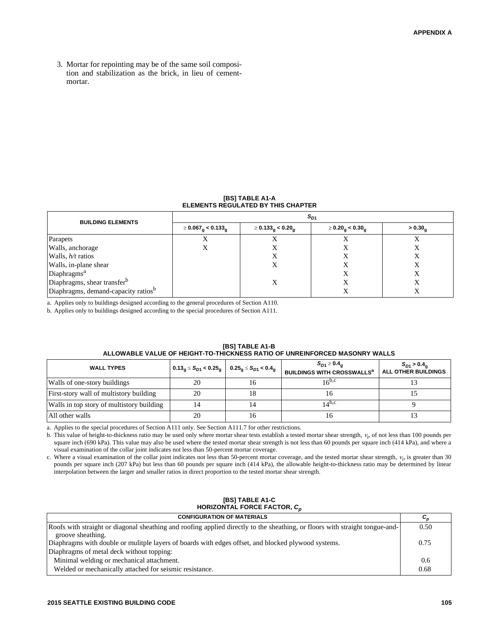3. Mortar for repointing may be of the same soil composition and stabilization as the brick, in lieu of cementmortar.

#### **[BS] TABLE A1-A ELEMENTS REGULATED BY THIS CHAPTER**

| <b>BUILDING ELEMENTS</b>                | $S_{D1}$                                   |                                     |                                    |                     |
|-----------------------------------------|--------------------------------------------|-------------------------------------|------------------------------------|---------------------|
|                                         | $\geq 0.067_{\text{g}} < 0.133_{\text{g}}$ | $\geq 0.133_{\rm g} < 0.20_{\rm g}$ | $\geq 0.20_{\rm g} < 0.30_{\rm g}$ | > 0.30 <sub>a</sub> |
| Parapets                                |                                            |                                     |                                    | л                   |
| Walls, anchorage                        |                                            | Х                                   |                                    | Х                   |
| Walls, $h/t$ ratios                     |                                            |                                     |                                    |                     |
| Walls, in-plane shear                   |                                            | Χ                                   | $\Lambda$                          | Х                   |
| Diaphragms <sup>a</sup>                 |                                            |                                     |                                    | X                   |
| Diaphragms, shear transfer <sup>b</sup> |                                            | Х                                   |                                    |                     |
| Diaphragms, demand-capacity ratiosb     |                                            |                                     |                                    |                     |

a. Applies only to buildings designed according to the general procedures of Section A110.

b. Applies only to buildings designed according to the special procedures of Section A111.

| ALLOWADLE VALUE OF HEIGHT-TO-THIGNNESS RATIO OF UNREINFORGED MASONRT WALLS |                                                                                     |    |                                                                            |                                                       |
|----------------------------------------------------------------------------|-------------------------------------------------------------------------------------|----|----------------------------------------------------------------------------|-------------------------------------------------------|
| <b>WALL TYPES</b>                                                          | $ 0.13_{\rm g} \leq S_{D1} < 0.25_{\rm g}   0.25_{\rm g} \leq S_{D1} < 0.4_{\rm g}$ |    | $S_{D1} \geq 0.4_{\alpha}$<br><b>BUILDINGS WITH CROSSWALLS<sup>a</sup></b> | $S_{D1} > 0.4_{\alpha}$<br><b>ALL OTHER BUILDINGS</b> |
| Walls of one-story buildings                                               |                                                                                     | 10 | $16^{b,c}$                                                                 |                                                       |
| First-story wall of multistory building                                    | 20                                                                                  | 18 | Iб                                                                         |                                                       |
| Walls in top story of multistory building                                  |                                                                                     | 14 | $14^{b,c}$                                                                 |                                                       |
| All other walls                                                            | 20                                                                                  | 16 | 10                                                                         |                                                       |

#### **[BS] TABLE A1-B ALLOWABLE VALUE OF HEIGHT-TO-THICKNESS RATIO OF UNREINFORCED MASONRY WALLS**

a. Applies to the special procedures of Section A111 only. See Section A111.7 for other restrictions.

b. This value of height-to-thickness ratio may be used only where mortar shear tests establish a tested mortar shear strength, *<sup>t</sup>* , of not less than 100 pounds per square inch (690 kPa). This value may also be used where the tested mortar shear strength is not less than 60 pounds per square inch (414 kPa), and where a visual examination of the collar joint indicates not less than 50-percent mortar coverage.

c. Where a visual examination of the collar joint indicates not less than 50-percent mortar coverage, and the tested mortar shear strength, *<sup>t</sup>* , is greater than 30 pounds per square inch (207 kPa) but less than 60 pounds per square inch (414 kPa), the allowable height-to-thickness ratio may be determined by linear interpolation between the larger and smaller ratios in direct proportion to the tested mortar shear strength.

#### **[BS] TABLE A1-C HORIZONTAL FORCE FACTOR,** *C<sup>p</sup>*

| <b>CONFIGURATION OF MATERIALS</b>                                                                                            | $c_{\scriptscriptstyle n}$ |
|------------------------------------------------------------------------------------------------------------------------------|----------------------------|
| Roofs with straight or diagonal sheathing and roofing applied directly to the sheathing, or floors with straight tongue-and- | 0.50                       |
| groove sheathing.                                                                                                            |                            |
| Diaphragms with double or mulitple layers of boards with edges offset, and blocked plywood systems.                          | 0.75                       |
| Diaphragms of metal deck without topping:                                                                                    |                            |
| Minimal welding or mechanical attachment.                                                                                    | 0.6                        |
| Welded or mechanically attached for seismic resistance.                                                                      | 0.68                       |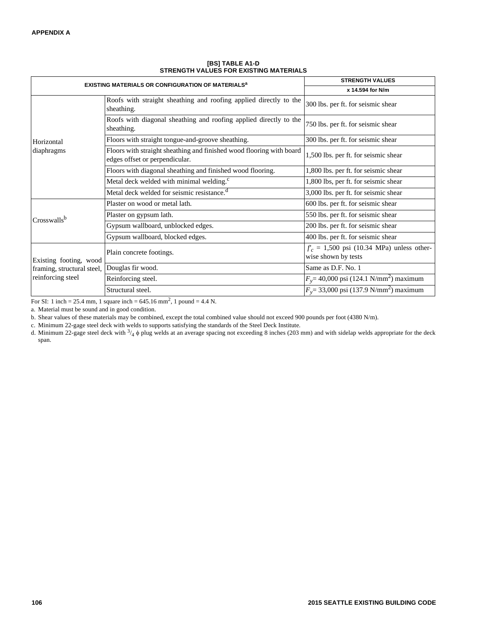| <b>EXISTING MATERIALS OR CONFIGURATION OF MATERIALS<sup>a</sup></b>       |                                                                                                        | <b>STRENGTH VALUES</b>                                             |
|---------------------------------------------------------------------------|--------------------------------------------------------------------------------------------------------|--------------------------------------------------------------------|
|                                                                           |                                                                                                        | x 14.594 for N/m                                                   |
|                                                                           | Roofs with straight sheathing and roofing applied directly to the<br>sheathing.                        | 300 lbs. per ft. for seismic shear                                 |
|                                                                           | Roofs with diagonal sheathing and roofing applied directly to the<br>sheathing.                        | 750 lbs. per ft. for seismic shear                                 |
| Horizontal                                                                | Floors with straight tongue-and-groove sheathing.                                                      | 300 lbs. per ft. for seismic shear                                 |
| diaphragms                                                                | Floors with straight sheathing and finished wood flooring with board<br>edges offset or perpendicular. | 1,500 lbs. per ft. for seismic shear                               |
|                                                                           | Floors with diagonal sheathing and finished wood flooring.                                             | 1,800 lbs. per ft. for seismic shear                               |
|                                                                           | Metal deck welded with minimal welding. <sup>c</sup>                                                   | 1,800 lbs, per ft. for seismic shear                               |
|                                                                           | Metal deck welded for seismic resistance. <sup>d</sup>                                                 | 3,000 lbs. per ft. for seismic shear                               |
|                                                                           | Plaster on wood or metal lath.                                                                         | 600 lbs. per ft. for seismic shear                                 |
| Crosswallsb                                                               | Plaster on gypsum lath.                                                                                | 550 lbs. per ft. for seismic shear                                 |
|                                                                           | Gypsum wallboard, unblocked edges.                                                                     | 200 lbs. per ft. for seismic shear                                 |
|                                                                           | Gypsum wallboard, blocked edges.                                                                       | 400 lbs. per ft. for seismic shear                                 |
| Existing footing, wood<br>framing, structural steel,<br>reinforcing steel | Plain concrete footings.                                                                               | $f_c = 1,500$ psi (10.34 MPa) unless other-<br>wise shown by tests |
|                                                                           | Douglas fir wood.                                                                                      | Same as D.F. No. 1                                                 |
|                                                                           | Reinforcing steel.                                                                                     | $F_v$ = 40,000 psi (124.1 N/mm <sup>2</sup> ) maximum              |
|                                                                           | Structural steel.                                                                                      | $F_v$ = 33,000 psi (137.9 N/mm <sup>2</sup> ) maximum              |

**[BS] TABLE A1-D STRENGTH VALUES FOR EXISTING MATERIALS**

For SI: 1 inch = 25.4 mm, 1 square inch =  $645.16$  mm<sup>2</sup>, 1 pound = 4.4 N.

a. Material must be sound and in good condition.

b. Shear values of these materials may be combined, except the total combined value should not exceed 900 pounds per foot (4380 N/m).

c. Minimum 22-gage steel deck with welds to supports satisfying the standards of the Steel Deck Institute.

d. Minimum 22-gage steel deck with  $\frac{3}{4}$   $\phi$  plug welds at an average spacing not exceeding 8 inches (203 mm) and with sidelap welds appropriate for the deck span.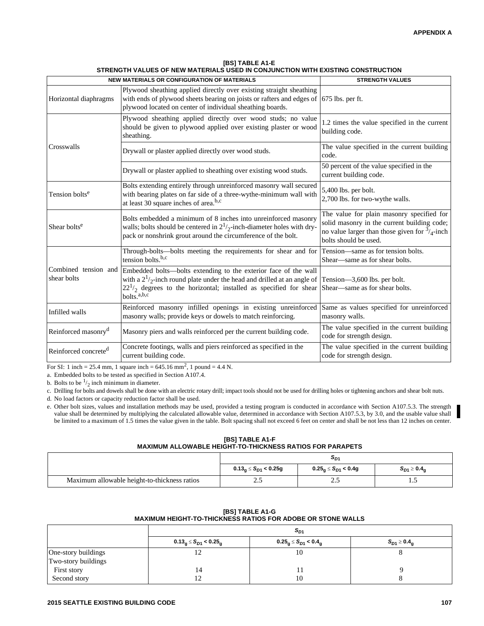| <b>NEW MATERIALS OR CONFIGURATION OF MATERIALS</b> |                                                                                                                                                                                                                                                            | <b>STRENGTH VALUES</b>                                                                                                                                                        |
|----------------------------------------------------|------------------------------------------------------------------------------------------------------------------------------------------------------------------------------------------------------------------------------------------------------------|-------------------------------------------------------------------------------------------------------------------------------------------------------------------------------|
| Horizontal diaphragms                              | Plywood sheathing applied directly over existing straight sheathing<br>with ends of plywood sheets bearing on joists or rafters and edges of $\vert$ 675 lbs. per ft.<br>plywood located on center of individual sheathing boards.                         |                                                                                                                                                                               |
|                                                    | Plywood sheathing applied directly over wood studs; no value<br>should be given to plywood applied over existing plaster or wood<br>sheathing.                                                                                                             | 1.2 times the value specified in the current<br>building code.                                                                                                                |
| Crosswalls                                         | Drywall or plaster applied directly over wood studs.                                                                                                                                                                                                       | The value specified in the current building<br>code.                                                                                                                          |
|                                                    | Drywall or plaster applied to sheathing over existing wood studs.                                                                                                                                                                                          | 50 percent of the value specified in the<br>current building code.                                                                                                            |
| Tension bolts <sup>e</sup>                         | Bolts extending entirely through unreinforced masonry wall secured<br>with bearing plates on far side of a three-wythe-minimum wall with<br>at least 30 square inches of area. <sup>b,c</sup>                                                              | 5,400 lbs. per bolt.<br>2,700 lbs. for two-wythe walls.                                                                                                                       |
| Shear bolts <sup>e</sup>                           | Bolts embedded a minimum of 8 inches into unreinforced masonry<br>walls; bolts should be centered in $2^{1/2}$ -inch-diameter holes with dry-<br>pack or nonshrink grout around the circumference of the bolt.                                             | The value for plain masonry specified for<br>solid masonry in the current building code;<br>no value larger than those given for $\frac{3}{4}$ -inch<br>bolts should be used. |
|                                                    | Through-bolts—bolts meeting the requirements for shear and for<br>tension bolts. $b,c$                                                                                                                                                                     | Tension-same as for tension bolts.<br>Shear-same as for shear bolts.                                                                                                          |
| Combined tension and<br>shear bolts                | Embedded bolts-bolts extending to the exterior face of the wall<br>with a $2^{1}/_{2}$ -inch round plate under the head and drilled at an angle of<br>$22^{1/2}$ degrees to the horizontal; installed as specified for shear<br>$b$ olts. <sup>a,b,c</sup> | Tension—3,600 lbs. per bolt.<br>Shear—same as for shear bolts.                                                                                                                |
| Infilled walls                                     | Reinforced masonry infilled openings in existing unreinforced<br>masonry walls; provide keys or dowels to match reinforcing.                                                                                                                               | Same as values specified for unreinforced<br>masonry walls.                                                                                                                   |
| Reinforced masonry <sup>d</sup>                    | Masonry piers and walls reinforced per the current building code.                                                                                                                                                                                          | The value specified in the current building<br>code for strength design.                                                                                                      |
| Reinforced concrete <sup>d</sup>                   | Concrete footings, walls and piers reinforced as specified in the<br>current building code.                                                                                                                                                                | The value specified in the current building<br>code for strength design.                                                                                                      |

**[BS] TABLE A1-E STRENGTH VALUES OF NEW MATERIALS USED IN CONJUNCTION WITH EXISTING CONSTRUCTION**

For SI: 1 inch = 25.4 mm, 1 square inch =  $645.16$  mm<sup>2</sup>, 1 pound = 4.4 N.

a. Embedded bolts to be tested as specified in Section A107.4.

b. Bolts to be  $\frac{1}{2}$  inch minimum in diameter.

c. Drilling for bolts and dowels shall be done with an electric rotary drill; impact tools should not be used for drilling holes or tightening anchors and shear bolt nuts.

d. No load factors or capacity reduction factor shall be used.

e. Other bolt sizes, values and installation methods may be used, provided a testing program is conducted in accordance with Section A107.5.3. The strength value shall be determined by multiplying the calculated allowable value, determined in accordance with Section A107.5.3, by 3.0, and the usable value shall be limited to a maximum of 1.5 times the value given in the table. Bolt spacing shall not exceed 6 feet on center and shall be not less than 12 inches on center.

**[BS] TABLE A1-F MAXIMUM ALLOWABLE HEIGHT-TO-THICKNESS RATIOS FOR PARAPETS**

|                                              | OD1                         |                                  |                                      |
|----------------------------------------------|-----------------------------|----------------------------------|--------------------------------------|
|                                              | $0.13_g \le S_{D1} < 0.25g$ | $0.25_{\rm g} \le S_{D1} < 0.49$ | $\mathcal{S}_{D1} \geq 0.4_\text{g}$ |
| Maximum allowable height-to-thickness ratios | ن و سک                      | ر                                | $\cdot$                              |

| [BS] TABLE A1-G                                                    |
|--------------------------------------------------------------------|
| <b>MAXIMUM HEIGHT-TO-THICKNESS RATIOS FOR ADOBE OR STONE WALLS</b> |

|                     | $S_{D1}$                     |                                               |                            |
|---------------------|------------------------------|-----------------------------------------------|----------------------------|
|                     | $0.13_g \le S_{D1} < 0.25_g$ | $0.25_{\text{g}} \le S_{D1} < 0.4_{\text{g}}$ | $S_{D1} \geq 0.4_{\alpha}$ |
| One-story buildings |                              | 10                                            |                            |
| Two-story buildings |                              |                                               |                            |
| First story         | 14                           |                                               |                            |
| Second story        |                              | 10                                            |                            |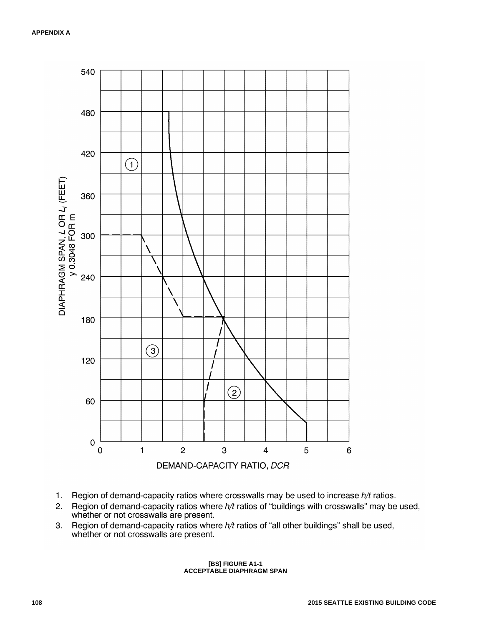

- $1.$ Region of demand-capacity ratios where crosswalls may be used to increase  $h/t$  ratios.
- Region of demand-capacity ratios where h/t ratios of "buildings with crosswalls" may be used,  $2.$ whether or not crosswalls are present.
- Region of demand-capacity ratios where h/t ratios of "all other buildings" shall be used,  $3.$ whether or not crosswalls are present.

#### **[BS] FIGURE A1-1 ACCEPTABLE DIAPHRAGM SPAN**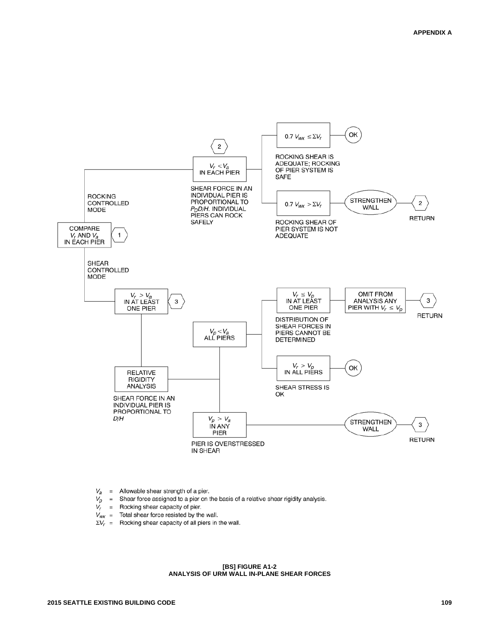

- = Allowable shear strength of a pier. Va
- $V_p$ = Shear force assigned to a pier on the basis of a relative shear rigidity analysis.
- $V_r$ = Rocking shear capacity of pier.
- $V_{\text{wx}}$  = Total shear force resisted by the wall.
- $\Sigma V_r$  = Rocking shear capacity of all piers in the wall.

#### **[BS] FIGURE A1-2 ANALYSIS OF URM WALL IN-PLANE SHEAR FORCES**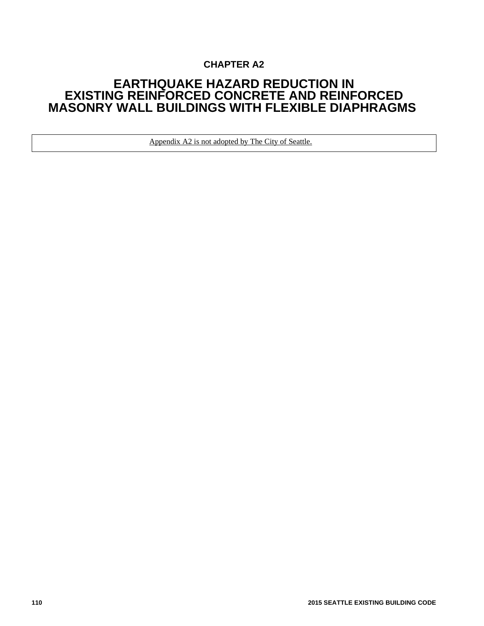## **CHAPTER A2**

## **EARTHQUAKE HAZARD REDUCTION IN EXISTING REINFORCED CONCRETE AND REINFORCED MASONRY WALL BUILDINGS WITH FLEXIBLE DIAPHRAGMS**

Appendix A2 is not adopted by The City of Seattle.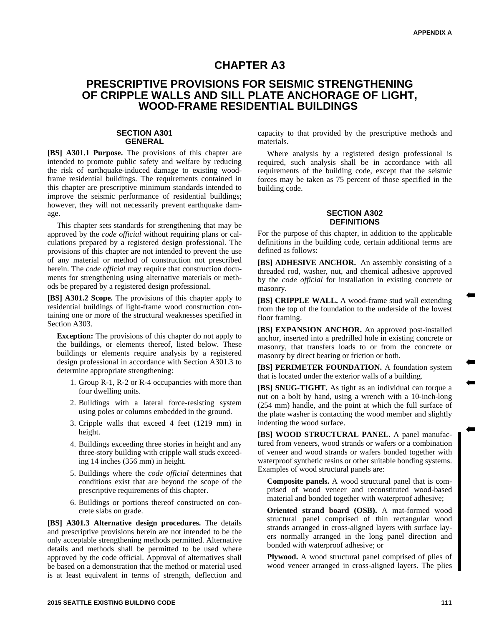## **CHAPTER A3**

## **PRESCRIPTIVE PROVISIONS FOR SEISMIC STRENGTHENING OF CRIPPLE WALLS AND SILL PLATE ANCHORAGE OF LIGHT, WOOD-FRAME RESIDENTIAL BUILDINGS**

#### **SECTION A301 GENERAL**

**[BS] A301.1 Purpose.** The provisions of this chapter are intended to promote public safety and welfare by reducing the risk of earthquake-induced damage to existing woodframe residential buildings. The requirements contained in this chapter are prescriptive minimum standards intended to improve the seismic performance of residential buildings; however, they will not necessarily prevent earthquake damage.

This chapter sets standards for strengthening that may be approved by the *code official* without requiring plans or calculations prepared by a registered design professional. The provisions of this chapter are not intended to prevent the use of any material or method of construction not prescribed herein. The *code official* may require that construction documents for strengthening using alternative materials or methods be prepared by a registered design professional.

**[BS] A301.2 Scope.** The provisions of this chapter apply to residential buildings of light-frame wood construction containing one or more of the structural weaknesses specified in Section A303.

**Exception:** The provisions of this chapter do not apply to the buildings, or elements thereof, listed below. These buildings or elements require analysis by a registered design professional in accordance with Section A301.3 to determine appropriate strengthening:

- 1. Group R-1, R-2 or R-4 occupancies with more than four dwelling units.
- 2. Buildings with a lateral force-resisting system using poles or columns embedded in the ground.
- 3. Cripple walls that exceed 4 feet (1219 mm) in height.
- 4. Buildings exceeding three stories in height and any three-story building with cripple wall studs exceeding 14 inches (356 mm) in height.
- 5. Buildings where the *code official* determines that conditions exist that are beyond the scope of the prescriptive requirements of this chapter.
- 6. Buildings or portions thereof constructed on concrete slabs on grade.

**[BS] A301.3 Alternative design procedures.** The details and prescriptive provisions herein are not intended to be the only acceptable strengthening methods permitted. Alternative details and methods shall be permitted to be used where approved by the code official. Approval of alternatives shall be based on a demonstration that the method or material used is at least equivalent in terms of strength, deflection and

capacity to that provided by the prescriptive methods and materials.

Where analysis by a registered design professional is required, such analysis shall be in accordance with all requirements of the building code, except that the seismic forces may be taken as 75 percent of those specified in the building code.

#### **SECTION A302 DEFINITIONS**

For the purpose of this chapter, in addition to the applicable definitions in the building code, certain additional terms are defined as follows:

**[BS] ADHESIVE ANCHOR.** An assembly consisting of a threaded rod, washer, nut, and chemical adhesive approved by the *code official* for installation in existing concrete or masonry.

**[BS] CRIPPLE WALL.** A wood-frame stud wall extending from the top of the foundation to the underside of the lowest floor framing.

**[BS] EXPANSION ANCHOR.** An approved post-installed anchor, inserted into a predrilled hole in existing concrete or masonry, that transfers loads to or from the concrete or masonry by direct bearing or friction or both.

[BS] PERIMETER FOUNDATION. A foundation system that is located under the exterior walls of a building.

**[BS] SNUG-TIGHT.** As tight as an individual can torque a nut on a bolt by hand, using a wrench with a 10-inch-long (254 mm) handle, and the point at which the full surface of the plate washer is contacting the wood member and slightly indenting the wood surface.

**[BS] WOOD STRUCTURAL PANEL.** A panel manufactured from veneers, wood strands or wafers or a combination of veneer and wood strands or wafers bonded together with waterproof synthetic resins or other suitable bonding systems. Examples of wood structural panels are:

**Composite panels.** A wood structural panel that is comprised of wood veneer and reconstituted wood-based material and bonded together with waterproof adhesive;

**Oriented strand board (OSB).** A mat-formed wood structural panel comprised of thin rectangular wood strands arranged in cross-aligned layers with surface layers normally arranged in the long panel direction and bonded with waterproof adhesive; or

**Plywood.** A wood structural panel comprised of plies of wood veneer arranged in cross-aligned layers. The plies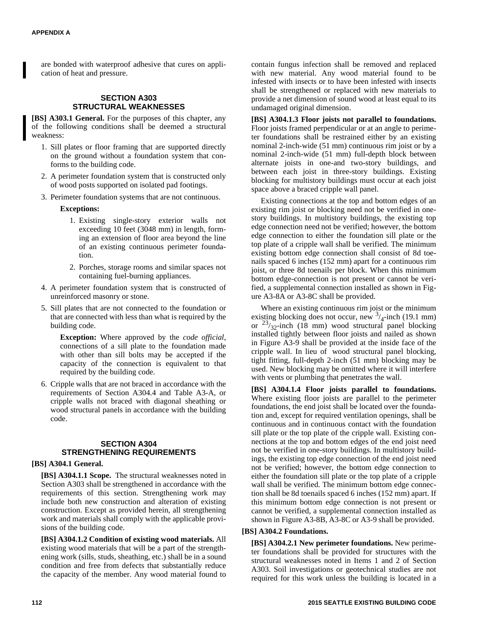are bonded with waterproof adhesive that cures on application of heat and pressure.

#### **SECTION A303 STRUCTURAL WEAKNESSES**

**[BS] A303.1 General.** For the purposes of this chapter, any of the following conditions shall be deemed a structural weakness:

- 1. Sill plates or floor framing that are supported directly on the ground without a foundation system that conforms to the building code.
- 2. A perimeter foundation system that is constructed only of wood posts supported on isolated pad footings.
- 3. Perimeter foundation systems that are not continuous.

#### **Exceptions:**

- 1. Existing single-story exterior walls not exceeding 10 feet (3048 mm) in length, forming an extension of floor area beyond the line of an existing continuous perimeter foundation.
- 2. Porches, storage rooms and similar spaces not containing fuel-burning appliances.
- 4. A perimeter foundation system that is constructed of unreinforced masonry or stone.
- 5. Sill plates that are not connected to the foundation or that are connected with less than what is required by the building code.

**Exception:** Where approved by the *code official*, connections of a sill plate to the foundation made with other than sill bolts may be accepted if the capacity of the connection is equivalent to that required by the building code.

6. Cripple walls that are not braced in accordance with the requirements of Section A304.4 and Table A3-A, or cripple walls not braced with diagonal sheathing or wood structural panels in accordance with the building code.

#### **SECTION A304 STRENGTHENING REQUIREMENTS**

#### **[BS] A304.1 General.**

**[BS] A304.1.1 Scope.** The structural weaknesses noted in Section A303 shall be strengthened in accordance with the requirements of this section. Strengthening work may include both new construction and alteration of existing construction. Except as provided herein, all strengthening work and materials shall comply with the applicable provisions of the building code.

**[BS] A304.1.2 Condition of existing wood materials.** All existing wood materials that will be a part of the strengthening work (sills, studs, sheathing, etc.) shall be in a sound condition and free from defects that substantially reduce the capacity of the member. Any wood material found to contain fungus infection shall be removed and replaced with new material. Any wood material found to be infested with insects or to have been infested with insects shall be strengthened or replaced with new materials to provide a net dimension of sound wood at least equal to its undamaged original dimension.

**[BS] A304.1.3 Floor joists not parallel to foundations.** Floor joists framed perpendicular or at an angle to perimeter foundations shall be restrained either by an existing nominal 2-inch-wide (51 mm) continuous rim joist or by a nominal 2-inch-wide (51 mm) full-depth block between alternate joists in one-and two-story buildings, and between each joist in three-story buildings. Existing blocking for multistory buildings must occur at each joist space above a braced cripple wall panel.

Existing connections at the top and bottom edges of an existing rim joist or blocking need not be verified in onestory buildings. In multistory buildings, the existing top edge connection need not be verified; however, the bottom edge connection to either the foundation sill plate or the top plate of a cripple wall shall be verified. The minimum existing bottom edge connection shall consist of 8d toenails spaced 6 inches (152 mm) apart for a continuous rim joist, or three 8d toenails per block. When this minimum bottom edge-connection is not present or cannot be verified, a supplemental connection installed as shown in Figure A3-8A or A3-8C shall be provided.

Where an existing continuous rim joist or the minimum existing blocking does not occur, new  $\frac{3}{4}$ -inch (19.1 mm) or  $23/32$ -inch (18 mm) wood structural panel blocking installed tightly between floor joists and nailed as shown in Figure A3-9 shall be provided at the inside face of the cripple wall. In lieu of wood structural panel blocking, tight fitting, full-depth 2-inch (51 mm) blocking may be used. New blocking may be omitted where it will interfere with vents or plumbing that penetrates the wall.

**[BS] A304.1.4 Floor joists parallel to foundations.** Where existing floor joists are parallel to the perimeter foundations, the end joist shall be located over the foundation and, except for required ventilation openings, shall be continuous and in continuous contact with the foundation sill plate or the top plate of the cripple wall. Existing connections at the top and bottom edges of the end joist need not be verified in one-story buildings. In multistory buildings, the existing top edge connection of the end joist need not be verified; however, the bottom edge connection to either the foundation sill plate or the top plate of a cripple wall shall be verified. The minimum bottom edge connection shall be 8d toenails spaced 6 inches (152 mm) apart. If this minimum bottom edge connection is not present or cannot be verified, a supplemental connection installed as shown in Figure A3-8B, A3-8C or A3-9 shall be provided.

#### **[BS] A304.2 Foundations.**

**[BS] A304.2.1 New perimeter foundations.** New perimeter foundations shall be provided for structures with the structural weaknesses noted in Items 1 and 2 of Section A303. Soil investigations or geotechnical studies are not required for this work unless the building is located in a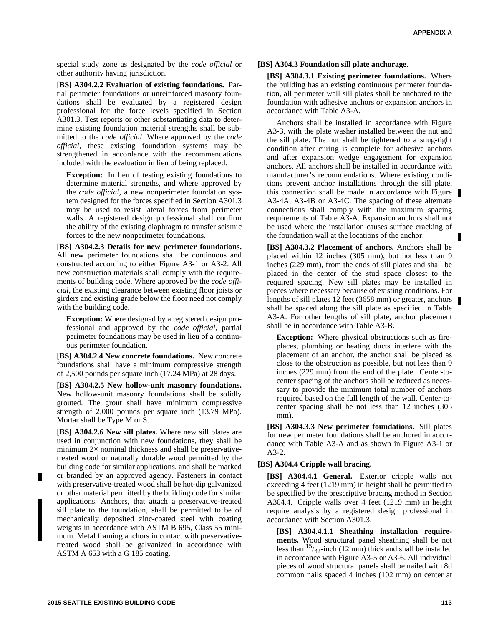special study zone as designated by the *code official* or other authority having jurisdiction.

**[BS] A304.2.2 Evaluation of existing foundations.** Partial perimeter foundations or unreinforced masonry foundations shall be evaluated by a registered design professional for the force levels specified in Section A301.3. Test reports or other substantiating data to determine existing foundation material strengths shall be submitted to the *code official*. Where approved by the *code official*, these existing foundation systems may be strengthened in accordance with the recommendations included with the evaluation in lieu of being replaced.

**Exception:** In lieu of testing existing foundations to determine material strengths, and where approved by the *code official*, a new nonperimeter foundation system designed for the forces specified in Section A301.3 may be used to resist lateral forces from perimeter walls. A registered design professional shall confirm the ability of the existing diaphragm to transfer seismic forces to the new nonperimeter foundations.

**[BS] A304.2.3 Details for new perimeter foundations.** All new perimeter foundations shall be continuous and constructed according to either Figure A3-1 or A3-2. All new construction materials shall comply with the requirements of building code. Where approved by the *code official*, the existing clearance between existing floor joists or girders and existing grade below the floor need not comply with the building code.

**Exception:** Where designed by a registered design professional and approved by the *code official*, partial perimeter foundations may be used in lieu of a continuous perimeter foundation.

**[BS] A304.2.4 New concrete foundations.** New concrete foundations shall have a minimum compressive strength of 2,500 pounds per square inch (17.24 MPa) at 28 days.

**[BS] A304.2.5 New hollow-unit masonry foundations.** New hollow-unit masonry foundations shall be solidly grouted. The grout shall have minimum compressive strength of 2,000 pounds per square inch (13.79 MPa). Mortar shall be Type M or S.

**[BS] A304.2.6 New sill plates.** Where new sill plates are used in conjunction with new foundations, they shall be minimum  $2\times$  nominal thickness and shall be preservativetreated wood or naturally durable wood permitted by the building code for similar applications, and shall be marked or branded by an approved agency. Fasteners in contact with preservative-treated wood shall be hot-dip galvanized or other material permitted by the building code for similar applications. Anchors, that attach a preservative-treated sill plate to the foundation, shall be permitted to be of mechanically deposited zinc-coated steel with coating weights in accordance with ASTM B 695, Class 55 minimum. Metal framing anchors in contact with preservativetreated wood shall be galvanized in accordance with ASTM A 653 with a G 185 coating.

#### **[BS] A304.3 Foundation sill plate anchorage.**

**[BS] A304.3.1 Existing perimeter foundations.** Where the building has an existing continuous perimeter foundation, all perimeter wall sill plates shall be anchored to the foundation with adhesive anchors or expansion anchors in accordance with Table A3-A.

Anchors shall be installed in accordance with Figure A3-3, with the plate washer installed between the nut and the sill plate. The nut shall be tightened to a snug-tight condition after curing is complete for adhesive anchors and after expansion wedge engagement for expansion anchors. All anchors shall be installed in accordance with manufacturer's recommendations. Where existing conditions prevent anchor installations through the sill plate, this connection shall be made in accordance with Figure A3-4A, A3-4B or A3-4C. The spacing of these alternate connections shall comply with the maximum spacing requirements of Table A3-A. Expansion anchors shall not be used where the installation causes surface cracking of the foundation wall at the locations of the anchor.

**[BS] A304.3.2 Placement of anchors.** Anchors shall be placed within 12 inches (305 mm), but not less than 9 inches (229 mm), from the ends of sill plates and shall be placed in the center of the stud space closest to the required spacing. New sill plates may be installed in pieces where necessary because of existing conditions. For lengths of sill plates 12 feet (3658 mm) or greater, anchors shall be spaced along the sill plate as specified in Table A3-A. For other lengths of sill plate, anchor placement shall be in accordance with Table A3-B.

**Exception:** Where physical obstructions such as fireplaces, plumbing or heating ducts interfere with the placement of an anchor, the anchor shall be placed as close to the obstruction as possible, but not less than 9 inches (229 mm) from the end of the plate. Center-tocenter spacing of the anchors shall be reduced as necessary to provide the minimum total number of anchors required based on the full length of the wall. Center-tocenter spacing shall be not less than 12 inches (305 mm).

**[BS] A304.3.3 New perimeter foundations.** Sill plates for new perimeter foundations shall be anchored in accordance with Table A3-A and as shown in Figure A3-1 or A3-2.

#### **[BS] A304.4 Cripple wall bracing.**

**[BS] A304.4.1 General.** Exterior cripple walls not exceeding 4 feet (1219 mm) in height shall be permitted to be specified by the prescriptive bracing method in Section A304.4. Cripple walls over 4 feet (1219 mm) in height require analysis by a registered design professional in accordance with Section A301.3.

**[BS] A304.4.1.1 Sheathing installation requirements.** Wood structural panel sheathing shall be not less than  $15/32$ -inch (12 mm) thick and shall be installed in accordance with Figure A3-5 or A3-6. All individual pieces of wood structural panels shall be nailed with 8d common nails spaced 4 inches (102 mm) on center at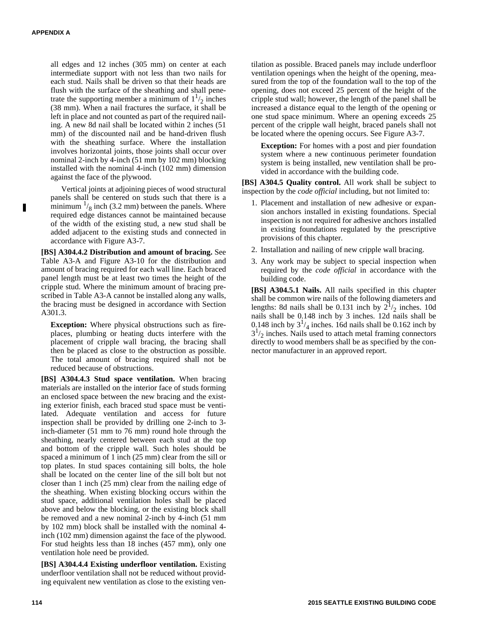all edges and 12 inches (305 mm) on center at each intermediate support with not less than two nails for each stud. Nails shall be driven so that their heads are flush with the surface of the sheathing and shall penetrate the supporting member a minimum of  $1^{1/2}$  inches (38 mm). When a nail fractures the surface, it shall be left in place and not counted as part of the required nailing. A new 8d nail shall be located within 2 inches (51 mm) of the discounted nail and be hand-driven flush with the sheathing surface. Where the installation involves horizontal joints, those joints shall occur over nominal 2-inch by 4-inch (51 mm by 102 mm) blocking installed with the nominal 4-inch (102 mm) dimension against the face of the plywood.

Vertical joints at adjoining pieces of wood structural panels shall be centered on studs such that there is a minimum  $\frac{1}{8}$  inch (3.2 mm) between the panels. Where required edge distances cannot be maintained because of the width of the existing stud, a new stud shall be added adjacent to the existing studs and connected in accordance with Figure A3-7.

**[BS] A304.4.2 Distribution and amount of bracing.** See Table A3-A and Figure A3-10 for the distribution and amount of bracing required for each wall line. Each braced panel length must be at least two times the height of the cripple stud. Where the minimum amount of bracing prescribed in Table A3-A cannot be installed along any walls, the bracing must be designed in accordance with Section A301.3.

**Exception:** Where physical obstructions such as fireplaces, plumbing or heating ducts interfere with the placement of cripple wall bracing, the bracing shall then be placed as close to the obstruction as possible. The total amount of bracing required shall not be reduced because of obstructions.

**[BS] A304.4.3 Stud space ventilation.** When bracing materials are installed on the interior face of studs forming an enclosed space between the new bracing and the existing exterior finish, each braced stud space must be ventilated. Adequate ventilation and access for future inspection shall be provided by drilling one 2-inch to 3 inch-diameter (51 mm to 76 mm) round hole through the sheathing, nearly centered between each stud at the top and bottom of the cripple wall. Such holes should be spaced a minimum of 1 inch (25 mm) clear from the sill or top plates. In stud spaces containing sill bolts, the hole shall be located on the center line of the sill bolt but not closer than 1 inch (25 mm) clear from the nailing edge of the sheathing. When existing blocking occurs within the stud space, additional ventilation holes shall be placed above and below the blocking, or the existing block shall be removed and a new nominal 2-inch by 4-inch (51 mm by 102 mm) block shall be installed with the nominal 4 inch (102 mm) dimension against the face of the plywood. For stud heights less than 18 inches (457 mm), only one ventilation hole need be provided.

**[BS] A304.4.4 Existing underfloor ventilation.** Existing underfloor ventilation shall not be reduced without providing equivalent new ventilation as close to the existing ven-

tilation as possible. Braced panels may include underfloor ventilation openings when the height of the opening, measured from the top of the foundation wall to the top of the opening, does not exceed 25 percent of the height of the cripple stud wall; however, the length of the panel shall be increased a distance equal to the length of the opening or one stud space minimum. Where an opening exceeds 25 percent of the cripple wall height, braced panels shall not be located where the opening occurs. See Figure A3-7.

**Exception:** For homes with a post and pier foundation system where a new continuous perimeter foundation system is being installed, new ventilation shall be provided in accordance with the building code.

**[BS] A304.5 Quality control.** All work shall be subject to inspection by the *code official* including, but not limited to:

- 1. Placement and installation of new adhesive or expansion anchors installed in existing foundations. Special inspection is not required for adhesive anchors installed in existing foundations regulated by the prescriptive provisions of this chapter.
- 2. Installation and nailing of new cripple wall bracing.
- 3. Any work may be subject to special inspection when required by the *code official* in accordance with the building code.

**[BS] A304.5.1 Nails.** All nails specified in this chapter shall be common wire nails of the following diameters and lengths: 8d nails shall be 0.131 inch by  $2^{1/2}$  inches. 10d nails shall be 0.148 inch by 3 inches. 12d nails shall be 0.148 inch by  $3^{1/4}$  inches. 16d nails shall be 0.162 inch by  $3^{1/2}$  inches. Nails used to attach metal framing connectors directly to wood members shall be as specified by the connector manufacturer in an approved report.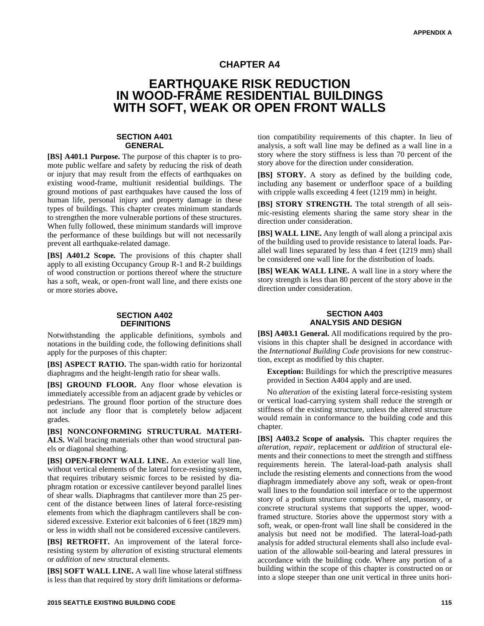## **CHAPTER A4**

## **EARTHQUAKE RISK REDUCTION IN WOOD-FRAME RESIDENTIAL BUILDINGS WITH SOFT, WEAK OR OPEN FRONT WALLS**

#### **SECTION A401 GENERAL**

**[BS] A401.1 Purpose.** The purpose of this chapter is to promote public welfare and safety by reducing the risk of death or injury that may result from the effects of earthquakes on existing wood-frame, multiunit residential buildings. The ground motions of past earthquakes have caused the loss of human life, personal injury and property damage in these types of buildings. This chapter creates minimum standards to strengthen the more vulnerable portions of these structures. When fully followed, these minimum standards will improve the performance of these buildings but will not necessarily prevent all earthquake-related damage.

**[BS] A401.2 Scope.** The provisions of this chapter shall apply to all existing Occupancy Group R-1 and R-2 buildings of wood construction or portions thereof where the structure has a soft, weak, or open-front wall line, and there exists one or more stories above**.**

#### **SECTION A402 DEFINITIONS**

Notwithstanding the applicable definitions, symbols and notations in the building code, the following definitions shall apply for the purposes of this chapter:

**[BS] ASPECT RATIO.** The span-width ratio for horizontal diaphragms and the height-length ratio for shear walls.

**[BS] GROUND FLOOR.** Any floor whose elevation is immediately accessible from an adjacent grade by vehicles or pedestrians. The ground floor portion of the structure does not include any floor that is completely below adjacent grades.

**[BS] NONCONFORMING STRUCTURAL MATERI-ALS.** Wall bracing materials other than wood structural panels or diagonal sheathing.

**[BS] OPEN-FRONT WALL LINE.** An exterior wall line, without vertical elements of the lateral force-resisting system, that requires tributary seismic forces to be resisted by diaphragm rotation or excessive cantilever beyond parallel lines of shear walls. Diaphragms that cantilever more than 25 percent of the distance between lines of lateral force-resisting elements from which the diaphragm cantilevers shall be considered excessive. Exterior exit balconies of 6 feet (1829 mm) or less in width shall not be considered excessive cantilevers.

**[BS] RETROFIT.** An improvement of the lateral forceresisting system by *alteration* of existing structural elements or *addition* of new structural elements.

**[BS] SOFT WALL LINE.** A wall line whose lateral stiffness is less than that required by story drift limitations or deforma-

tion compatibility requirements of this chapter. In lieu of analysis, a soft wall line may be defined as a wall line in a story where the story stiffness is less than 70 percent of the story above for the direction under consideration.

**[BS] STORY.** A story as defined by the building code, including any basement or underfloor space of a building with cripple walls exceeding 4 feet (1219 mm) in height.

**[BS] STORY STRENGTH.** The total strength of all seismic-resisting elements sharing the same story shear in the direction under consideration.

**[BS] WALL LINE.** Any length of wall along a principal axis of the building used to provide resistance to lateral loads. Parallel wall lines separated by less than 4 feet (1219 mm) shall be considered one wall line for the distribution of loads.

**[BS] WEAK WALL LINE.** A wall line in a story where the story strength is less than 80 percent of the story above in the direction under consideration.

#### **SECTION A403 ANALYSIS AND DESIGN**

**[BS] A403.1 General.** All modifications required by the provisions in this chapter shall be designed in accordance with the *International Building Code* provisions for new construction, except as modified by this chapter.

**Exception:** Buildings for which the prescriptive measures provided in Section A404 apply and are used.

No *alteration* of the existing lateral force-resisting system or vertical load-carrying system shall reduce the strength or stiffness of the existing structure, unless the altered structure would remain in conformance to the building code and this chapter.

**[BS] A403.2 Scope of analysis.** This chapter requires the *alteration*, *repair*, replacement or *addition* of structural elements and their connections to meet the strength and stiffness requirements herein. The lateral-load-path analysis shall include the resisting elements and connections from the wood diaphragm immediately above any soft, weak or open-front wall lines to the foundation soil interface or to the uppermost story of a podium structure comprised of steel, masonry, or concrete structural systems that supports the upper, woodframed structure. Stories above the uppermost story with a soft, weak, or open-front wall line shall be considered in the analysis but need not be modified. The lateral-load-path analysis for added structural elements shall also include evaluation of the allowable soil-bearing and lateral pressures in accordance with the building code. Where any portion of a building within the scope of this chapter is constructed on or into a slope steeper than one unit vertical in three units hori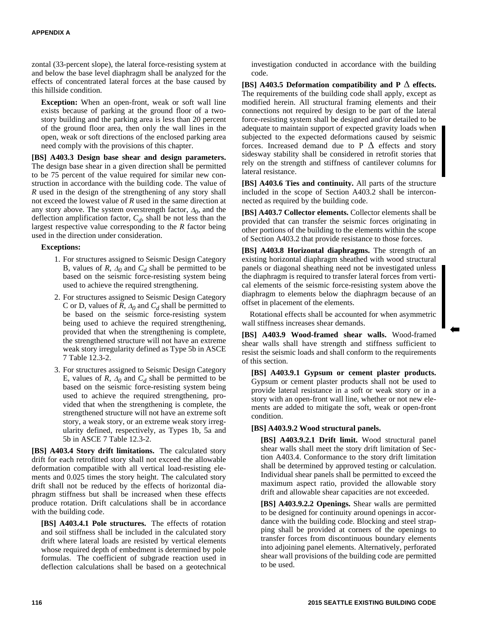zontal (33-percent slope), the lateral force-resisting system at and below the base level diaphragm shall be analyzed for the effects of concentrated lateral forces at the base caused by this hillside condition.

**Exception:** When an open-front, weak or soft wall line exists because of parking at the ground floor of a twostory building and the parking area is less than 20 percent of the ground floor area, then only the wall lines in the open, weak or soft directions of the enclosed parking area need comply with the provisions of this chapter.

**[BS] A403.3 Design base shear and design parameters.** The design base shear in a given direction shall be permitted to be 75 percent of the value required for similar new construction in accordance with the building code. The value of *R* used in the design of the strengthening of any story shall not exceed the lowest value of *R* used in the same direction at any story above. The system overstrength factor,  $\Delta_0$ , and the deflection amplification factor, *C<sup>d</sup>* , shall be not less than the largest respective value corresponding to the *R* factor being used in the direction under consideration.

#### **Exceptions:**

- 1. For structures assigned to Seismic Design Category B, values of *R*,  $\Delta_0$  and  $C_d$  shall be permitted to be based on the seismic force-resisting system being used to achieve the required strengthening.
- 2. For structures assigned to Seismic Design Category C or D, values of *R*,  $\Delta_0$  and  $C_d$  shall be permitted to be based on the seismic force-resisting system being used to achieve the required strengthening, provided that when the strengthening is complete, the strengthened structure will not have an extreme weak story irregularity defined as Type 5b in ASCE 7 Table 12.3-2.
- 3. For structures assigned to Seismic Design Category E, values of *R*,  $\Delta_0$  and  $C_d$  shall be permitted to be based on the seismic force-resisting system being used to achieve the required strengthening, provided that when the strengthening is complete, the strengthened structure will not have an extreme soft story, a weak story, or an extreme weak story irregularity defined, respectively, as Types 1b, 5a and 5b in ASCE 7 Table 12.3-2.

**[BS] A403.4 Story drift limitations.** The calculated story drift for each retrofitted story shall not exceed the allowable deformation compatible with all vertical load-resisting elements and 0.025 times the story height. The calculated story drift shall not be reduced by the effects of horizontal diaphragm stiffness but shall be increased when these effects produce rotation. Drift calculations shall be in accordance with the building code.

**[BS] A403.4.1 Pole structures.** The effects of rotation and soil stiffness shall be included in the calculated story drift where lateral loads are resisted by vertical elements whose required depth of embedment is determined by pole formulas. The coefficient of subgrade reaction used in deflection calculations shall be based on a geotechnical

investigation conducted in accordance with the building code.

**[BS] A403.5 Deformation compatibility and P** Δ **effects.** The requirements of the building code shall apply, except as modified herein. All structural framing elements and their connections not required by design to be part of the lateral force-resisting system shall be designed and/or detailed to be adequate to maintain support of expected gravity loads when subjected to the expected deformations caused by seismic forces. Increased demand due to P  $\Delta$  effects and story sidesway stability shall be considered in retrofit stories that rely on the strength and stiffness of cantilever columns for lateral resistance.

**[BS] A403.6 Ties and continuity.** All parts of the structure included in the scope of Section A403.2 shall be interconnected as required by the building code.

**[BS] A403.7 Collector elements.** Collector elements shall be provided that can transfer the seismic forces originating in other portions of the building to the elements within the scope of Section A403.2 that provide resistance to those forces.

**[BS] A403.8 Horizontal diaphragms.** The strength of an existing horizontal diaphragm sheathed with wood structural panels or diagonal sheathing need not be investigated unless the diaphragm is required to transfer lateral forces from vertical elements of the seismic force-resisting system above the diaphragm to elements below the diaphragm because of an offset in placement of the elements.

Rotational effects shall be accounted for when asymmetric wall stiffness increases shear demands.

**[BS] A403.9 Wood-framed shear walls.** Wood-framed shear walls shall have strength and stiffness sufficient to resist the seismic loads and shall conform to the requirements of this section.

**[BS] A403.9.1 Gypsum or cement plaster products.** Gypsum or cement plaster products shall not be used to provide lateral resistance in a soft or weak story or in a story with an open-front wall line, whether or not new elements are added to mitigate the soft, weak or open-front condition.

#### **[BS] A403.9.2 Wood structural panels.**

**[BS] A403.9.2.1 Drift limit.** Wood structural panel shear walls shall meet the story drift limitation of Section A403.4. Conformance to the story drift limitation shall be determined by approved testing or calculation. Individual shear panels shall be permitted to exceed the maximum aspect ratio, provided the allowable story drift and allowable shear capacities are not exceeded.

**[BS] A403.9.2.2 Openings.** Shear walls are permitted to be designed for continuity around openings in accordance with the building code. Blocking and steel strapping shall be provided at corners of the openings to transfer forces from discontinuous boundary elements into adjoining panel elements. Alternatively, perforated shear wall provisions of the building code are permitted to be used.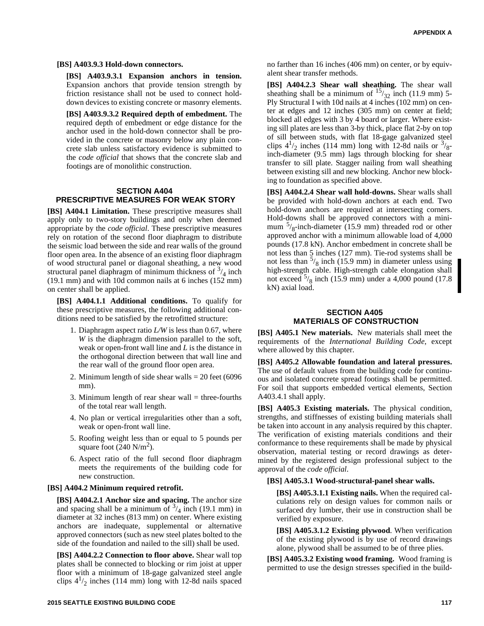#### **[BS] A403.9.3 Hold-down connectors.**

**[BS] A403.9.3.1 Expansion anchors in tension.** Expansion anchors that provide tension strength by friction resistance shall not be used to connect holddown devices to existing concrete or masonry elements.

**[BS] A403.9.3.2 Required depth of embedment.** The required depth of embedment or edge distance for the anchor used in the hold-down connector shall be provided in the concrete or masonry below any plain concrete slab unless satisfactory evidence is submitted to the *code official* that shows that the concrete slab and footings are of monolithic construction.

#### **SECTION A404 PRESCRIPTIVE MEASURES FOR WEAK STORY**

**[BS] A404.1 Limitation.** These prescriptive measures shall apply only to two-story buildings and only when deemed appropriate by the *code official*. These prescriptive measures rely on rotation of the second floor diaphragm to distribute the seismic load between the side and rear walls of the ground floor open area. In the absence of an existing floor diaphragm of wood structural panel or diagonal sheathing, a new wood structural panel diaphragm of minimum thickness of  $\frac{3}{4}$  inch (19.1 mm) and with 10d common nails at 6 inches (152 mm) on center shall be applied.

**[BS] A404.1.1 Additional conditions.** To qualify for these prescriptive measures, the following additional conditions need to be satisfied by the retrofitted structure:

- 1. Diaphragm aspect ratio *L/W* is less than 0.67, where *W* is the diaphragm dimension parallel to the soft, weak or open-front wall line and *L* is the distance in the orthogonal direction between that wall line and the rear wall of the ground floor open area.
- 2. Minimum length of side shear walls = 20 feet (6096 mm).
- 3. Minimum length of rear shear wall  $=$  three-fourths of the total rear wall length.
- 4. No plan or vertical irregularities other than a soft, weak or open-front wall line.
- 5. Roofing weight less than or equal to 5 pounds per square foot  $(240 \text{ N/m}^2)$ .
- 6. Aspect ratio of the full second floor diaphragm meets the requirements of the building code for new construction.

#### **[BS] A404.2 Minimum required retrofit.**

**[BS] A404.2.1 Anchor size and spacing.** The anchor size and spacing shall be a minimum of  $\frac{3}{4}$  inch (19.1 mm) in diameter at 32 inches (813 mm) on center. Where existing anchors are inadequate, supplemental or alternative approved connectors (such as new steel plates bolted to the side of the foundation and nailed to the sill) shall be used.

**[BS] A404.2.2 Connection to floor above.** Shear wall top plates shall be connected to blocking or rim joist at upper floor with a minimum of 18-gage galvanized steel angle clips  $4^{1}/_{2}$  inches (114 mm) long with 12-8d nails spaced

no farther than 16 inches (406 mm) on center, or by equivalent shear transfer methods.

**[BS] A404.2.3 Shear wall sheathing.** The shear wall sheathing shall be a minimum of  $15/32$  inch (11.9 mm) 5-Ply Structural I with 10d nails at 4 inches (102 mm) on center at edges and 12 inches (305 mm) on center at field; blocked all edges with 3 by 4 board or larger. Where existing sill plates are less than 3-by thick, place flat 2-by on top of sill between studs, with flat 18-gage galvanized steel clips  $4^{1}/_2$  inches (114 mm) long with 12-8d nails or  $3/8$ inch-diameter (9.5 mm) lags through blocking for shear transfer to sill plate. Stagger nailing from wall sheathing between existing sill and new blocking. Anchor new blocking to foundation as specified above.

**[BS] A404.2.4 Shear wall hold-downs.** Shear walls shall be provided with hold-down anchors at each end. Two hold-down anchors are required at intersecting corners. Hold-downs shall be approved connectors with a minimum  $\frac{5}{8}$ -inch-diameter (15.9 mm) threaded rod or other approved anchor with a minimum allowable load of 4,000 pounds (17.8 kN). Anchor embedment in concrete shall be not less than 5 inches (127 mm). Tie-rod systems shall be not less than  $\frac{5}{8}$  inch (15.9 mm) in diameter unless using high-strength cable. High-strength cable elongation shall not exceed  $5/8$  inch (15.9 mm) under a 4,000 pound (17.8 kN) axial load.

#### **SECTION A405 MATERIALS OF CONSTRUCTION**

**[BS] A405.1 New materials.** New materials shall meet the requirements of the *International Building Code*, except where allowed by this chapter.

**[BS] A405.2 Allowable foundation and lateral pressures.** The use of default values from the building code for continuous and isolated concrete spread footings shall be permitted. For soil that supports embedded vertical elements, Section A403.4.1 shall apply.

**[BS] A405.3 Existing materials.** The physical condition, strengths, and stiffnesses of existing building materials shall be taken into account in any analysis required by this chapter. The verification of existing materials conditions and their conformance to these requirements shall be made by physical observation, material testing or record drawings as determined by the registered design professional subject to the approval of the *code official*.

#### **[BS] A405.3.1 Wood-structural-panel shear walls.**

**[BS] A405.3.1.1 Existing nails.** When the required calculations rely on design values for common nails or surfaced dry lumber, their use in construction shall be verified by exposure.

**[BS] A405.3.1.2 Existing plywood**. When verification of the existing plywood is by use of record drawings alone, plywood shall be assumed to be of three plies.

**[BS] A405.3.2 Existing wood framing.** Wood framing is permitted to use the design stresses specified in the build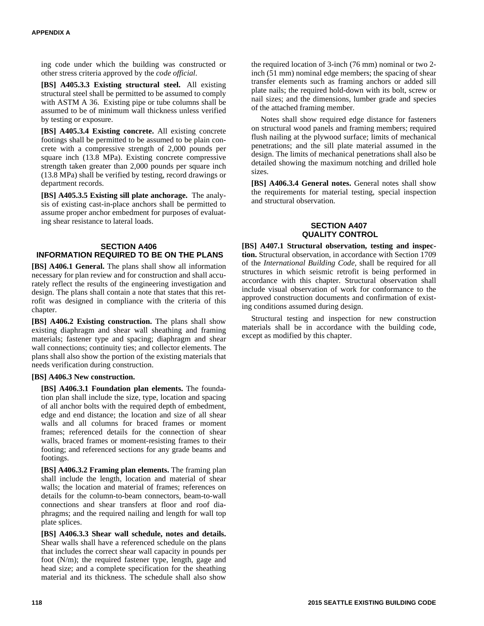ing code under which the building was constructed or other stress criteria approved by the *code official*.

**[BS] A405.3.3 Existing structural steel.** All existing structural steel shall be permitted to be assumed to comply with ASTM A 36. Existing pipe or tube columns shall be assumed to be of minimum wall thickness unless verified by testing or exposure.

**[BS] A405.3.4 Existing concrete.** All existing concrete footings shall be permitted to be assumed to be plain concrete with a compressive strength of 2,000 pounds per square inch (13.8 MPa). Existing concrete compressive strength taken greater than 2,000 pounds per square inch (13.8 MPa) shall be verified by testing, record drawings or department records.

**[BS] A405.3.5 Existing sill plate anchorage.** The analysis of existing cast-in-place anchors shall be permitted to assume proper anchor embedment for purposes of evaluating shear resistance to lateral loads.

#### **SECTION A406 INFORMATION REQUIRED TO BE ON THE PLANS**

**[BS] A406.1 General.** The plans shall show all information necessary for plan review and for construction and shall accurately reflect the results of the engineering investigation and design. The plans shall contain a note that states that this retrofit was designed in compliance with the criteria of this chapter.

**[BS] A406.2 Existing construction.** The plans shall show existing diaphragm and shear wall sheathing and framing materials; fastener type and spacing; diaphragm and shear wall connections; continuity ties; and collector elements. The plans shall also show the portion of the existing materials that needs verification during construction.

#### **[BS] A406.3 New construction.**

**[BS] A406.3.1 Foundation plan elements.** The foundation plan shall include the size, type, location and spacing of all anchor bolts with the required depth of embedment, edge and end distance; the location and size of all shear walls and all columns for braced frames or moment frames; referenced details for the connection of shear walls, braced frames or moment-resisting frames to their footing; and referenced sections for any grade beams and footings.

**[BS] A406.3.2 Framing plan elements.** The framing plan shall include the length, location and material of shear walls; the location and material of frames; references on details for the column-to-beam connectors, beam-to-wall connections and shear transfers at floor and roof diaphragms; and the required nailing and length for wall top plate splices.

**[BS] A406.3.3 Shear wall schedule, notes and details.** Shear walls shall have a referenced schedule on the plans that includes the correct shear wall capacity in pounds per foot (N/m); the required fastener type, length, gage and head size; and a complete specification for the sheathing material and its thickness. The schedule shall also show

the required location of 3-inch (76 mm) nominal or two 2 inch (51 mm) nominal edge members; the spacing of shear transfer elements such as framing anchors or added sill plate nails; the required hold-down with its bolt, screw or nail sizes; and the dimensions, lumber grade and species of the attached framing member.

Notes shall show required edge distance for fasteners on structural wood panels and framing members; required flush nailing at the plywood surface; limits of mechanical penetrations; and the sill plate material assumed in the design. The limits of mechanical penetrations shall also be detailed showing the maximum notching and drilled hole sizes.

**[BS] A406.3.4 General notes.** General notes shall show the requirements for material testing, special inspection and structural observation.

#### **SECTION A407 QUALITY CONTROL**

**[BS] A407.1 Structural observation, testing and inspection.** Structural observation, in accordance with Section 1709 of the *International Building Code*, shall be required for all structures in which seismic retrofit is being performed in accordance with this chapter. Structural observation shall include visual observation of work for conformance to the approved construction documents and confirmation of existing conditions assumed during design.

Structural testing and inspection for new construction materials shall be in accordance with the building code, except as modified by this chapter.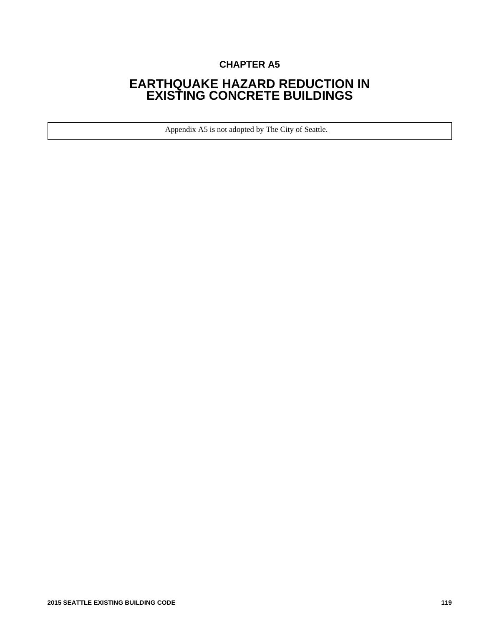## **CHAPTER A5**

## **EARTHQUAKE HAZARD REDUCTION IN EXISTING CONCRETE BUILDINGS**

Appendix A5 is not adopted by The City of Seattle.